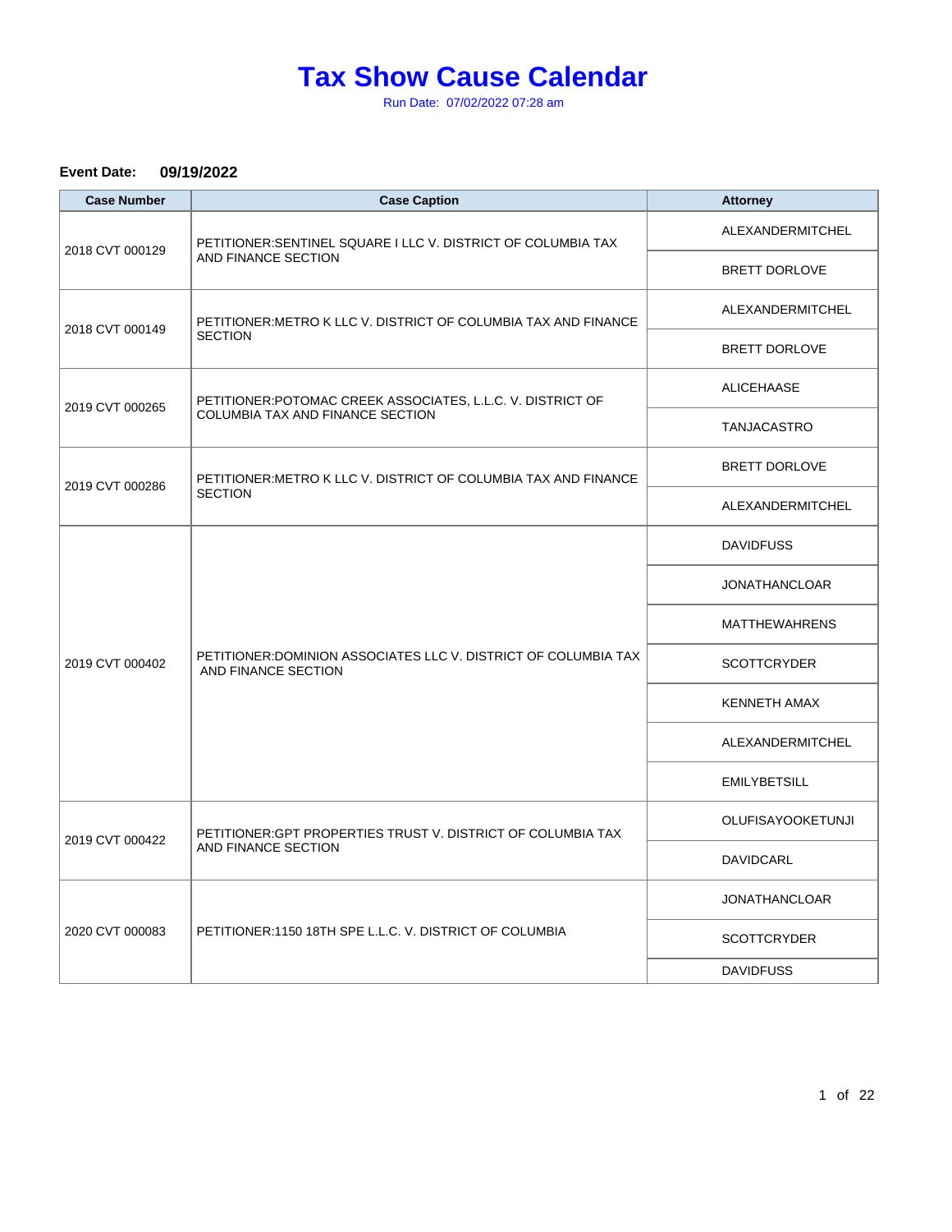Run Date: 07/02/2022 07:28 am

#### **Event Date: 09/19/2022**

| <b>Case Number</b> | <b>Case Caption</b>                                                                    | <b>Attorney</b>          |
|--------------------|----------------------------------------------------------------------------------------|--------------------------|
| 2018 CVT 000129    | PETITIONER: SENTINEL SQUARE I LLC V. DISTRICT OF COLUMBIA TAX                          | ALEXANDERMITCHEL         |
|                    | AND FINANCE SECTION                                                                    | <b>BRETT DORLOVE</b>     |
| 2018 CVT 000149    | PETITIONER: METRO K LLC V. DISTRICT OF COLUMBIA TAX AND FINANCE                        | ALEXANDERMITCHEL         |
|                    | <b>SECTION</b>                                                                         | BRETT DORLOVE            |
|                    | PETITIONER: POTOMAC CREEK ASSOCIATES, L.L.C. V. DISTRICT OF                            | ALICEHAASE               |
| 2019 CVT 000265    | <b>COLUMBIA TAX AND FINANCE SECTION</b>                                                | <b>TANJACASTRO</b>       |
| 2019 CVT 000286    | PETITIONER: METRO K LLC V. DISTRICT OF COLUMBIA TAX AND FINANCE                        | BRETT DORLOVE            |
|                    | <b>SECTION</b>                                                                         | ALEXANDERMITCHEL         |
|                    | PETITIONER: DOMINION ASSOCIATES LLC V. DISTRICT OF COLUMBIA TAX<br>AND FINANCE SECTION | <b>DAVIDFUSS</b>         |
|                    |                                                                                        | <b>JONATHANCLOAR</b>     |
|                    |                                                                                        | <b>MATTHEWAHRENS</b>     |
| 2019 CVT 000402    |                                                                                        | <b>SCOTTCRYDER</b>       |
|                    |                                                                                        | <b>KENNETH AMAX</b>      |
|                    |                                                                                        | ALEXANDERMITCHEL         |
|                    |                                                                                        | <b>EMILYBETSILL</b>      |
|                    | PETITIONER: GPT PROPERTIES TRUST V. DISTRICT OF COLUMBIA TAX<br>AND FINANCE SECTION    | <b>OLUFISAYOOKETUNJI</b> |
| 2019 CVT 000422    |                                                                                        | DAVIDCARL                |
|                    | PETITIONER: 1150 18TH SPE L.L.C. V. DISTRICT OF COLUMBIA                               | <b>JONATHANCLOAR</b>     |
| 2020 CVT 000083    |                                                                                        | <b>SCOTTCRYDER</b>       |
|                    |                                                                                        | <b>DAVIDFUSS</b>         |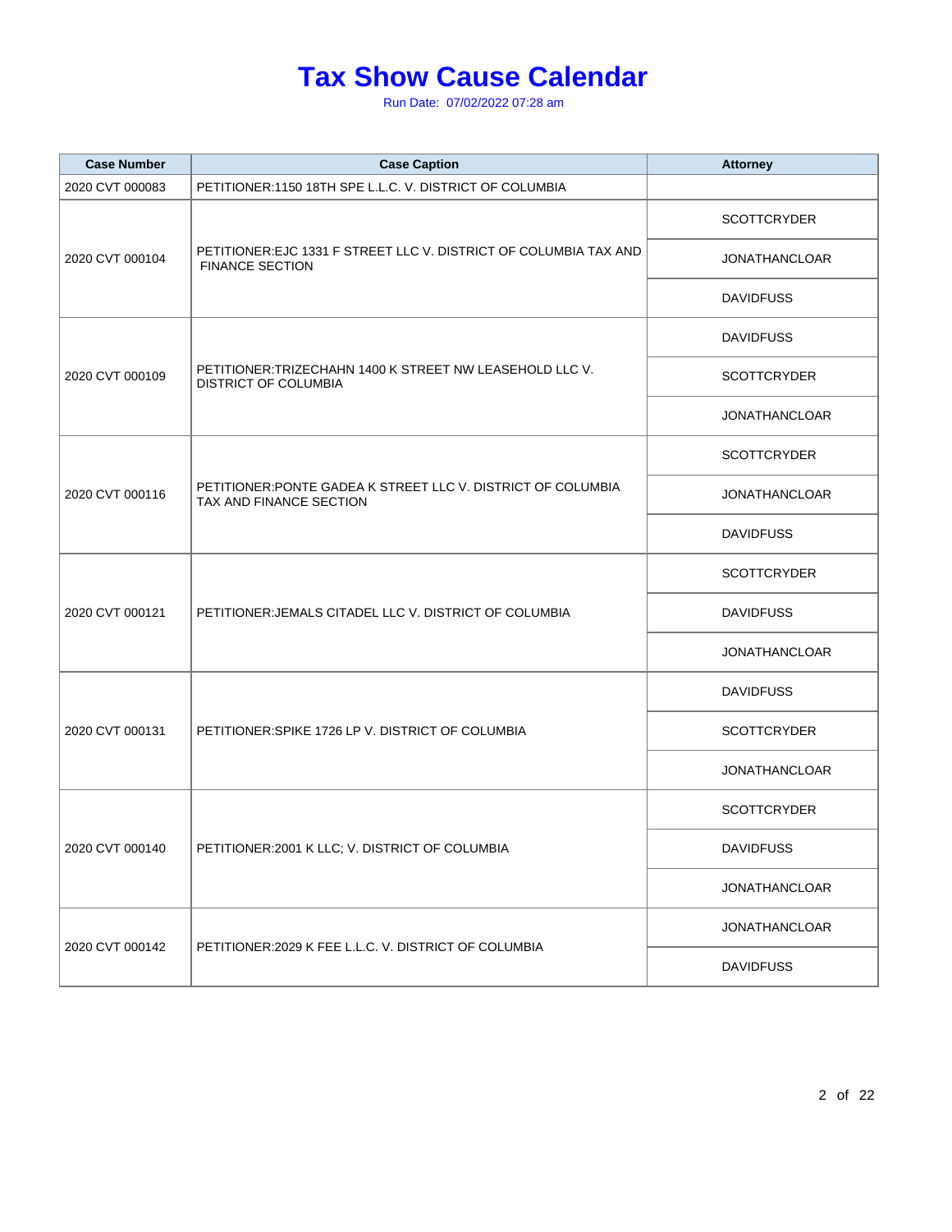| <b>Case Number</b> | <b>Case Caption</b>                                                                         | <b>Attorney</b>      |
|--------------------|---------------------------------------------------------------------------------------------|----------------------|
| 2020 CVT 000083    | PETITIONER:1150 18TH SPE L.L.C. V. DISTRICT OF COLUMBIA                                     |                      |
|                    |                                                                                             | <b>SCOTTCRYDER</b>   |
| 2020 CVT 000104    | PETITIONER: EJC 1331 F STREET LLC V. DISTRICT OF COLUMBIA TAX AND<br><b>FINANCE SECTION</b> | <b>JONATHANCLOAR</b> |
|                    |                                                                                             | <b>DAVIDFUSS</b>     |
|                    |                                                                                             | <b>DAVIDFUSS</b>     |
| 2020 CVT 000109    | PETITIONER:TRIZECHAHN 1400 K STREET NW LEASEHOLD LLC V.<br><b>DISTRICT OF COLUMBIA</b>      | <b>SCOTTCRYDER</b>   |
|                    |                                                                                             | <b>JONATHANCLOAR</b> |
|                    |                                                                                             | <b>SCOTTCRYDER</b>   |
| 2020 CVT 000116    | PETITIONER: PONTE GADEA K STREET LLC V. DISTRICT OF COLUMBIA<br>TAX AND FINANCE SECTION     | <b>JONATHANCLOAR</b> |
|                    |                                                                                             | <b>DAVIDFUSS</b>     |
|                    | PETITIONER: JEMALS CITADEL LLC V. DISTRICT OF COLUMBIA                                      | <b>SCOTTCRYDER</b>   |
| 2020 CVT 000121    |                                                                                             | <b>DAVIDFUSS</b>     |
|                    |                                                                                             | <b>JONATHANCLOAR</b> |
|                    |                                                                                             | <b>DAVIDFUSS</b>     |
| 2020 CVT 000131    | PETITIONER: SPIKE 1726 LP V. DISTRICT OF COLUMBIA                                           | <b>SCOTTCRYDER</b>   |
|                    |                                                                                             | <b>JONATHANCLOAR</b> |
|                    |                                                                                             | <b>SCOTTCRYDER</b>   |
| 2020 CVT 000140    | PETITIONER: 2001 K LLC; V. DISTRICT OF COLUMBIA                                             | <b>DAVIDFUSS</b>     |
|                    |                                                                                             | <b>JONATHANCLOAR</b> |
|                    |                                                                                             | <b>JONATHANCLOAR</b> |
| 2020 CVT 000142    | PETITIONER: 2029 K FEE L.L.C. V. DISTRICT OF COLUMBIA                                       | <b>DAVIDFUSS</b>     |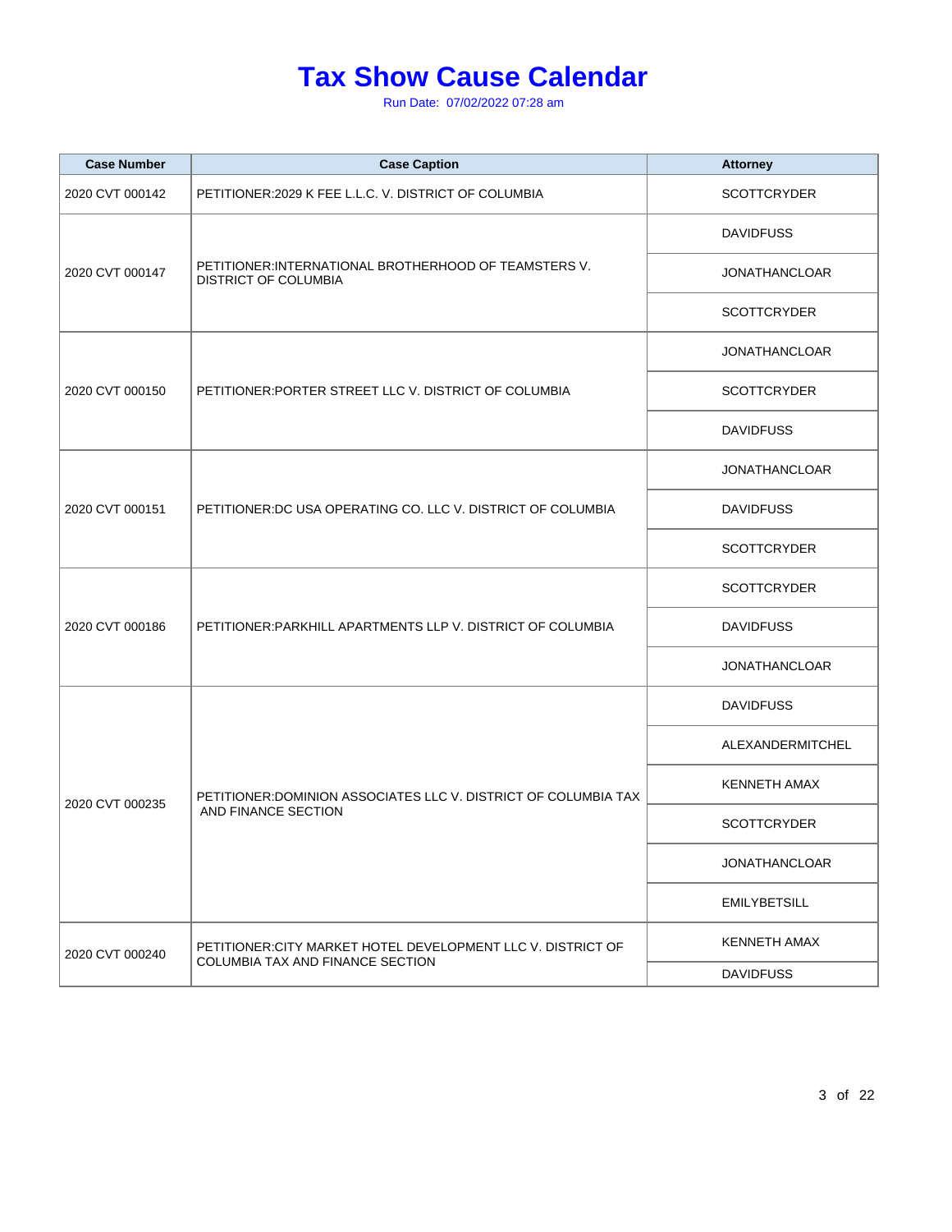| <b>Case Number</b> | <b>Case Caption</b>                                                                              | <b>Attorney</b>      |
|--------------------|--------------------------------------------------------------------------------------------------|----------------------|
| 2020 CVT 000142    | PETITIONER: 2029 K FEE L.L.C. V. DISTRICT OF COLUMBIA                                            | <b>SCOTTCRYDER</b>   |
|                    |                                                                                                  | <b>DAVIDFUSS</b>     |
| 2020 CVT 000147    | PETITIONER: INTERNATIONAL BROTHERHOOD OF TEAMSTERS V.<br><b>DISTRICT OF COLUMBIA</b>             | <b>JONATHANCLOAR</b> |
|                    |                                                                                                  | <b>SCOTTCRYDER</b>   |
|                    |                                                                                                  | <b>JONATHANCLOAR</b> |
| 2020 CVT 000150    | PETITIONER: PORTER STREET LLC V. DISTRICT OF COLUMBIA                                            | <b>SCOTTCRYDER</b>   |
|                    |                                                                                                  | <b>DAVIDFUSS</b>     |
|                    |                                                                                                  | <b>JONATHANCLOAR</b> |
| 2020 CVT 000151    | PETITIONER: DC USA OPERATING CO. LLC V. DISTRICT OF COLUMBIA                                     | <b>DAVIDFUSS</b>     |
|                    |                                                                                                  | <b>SCOTTCRYDER</b>   |
|                    | PETITIONER: PARKHILL APARTMENTS LLP V. DISTRICT OF COLUMBIA                                      | <b>SCOTTCRYDER</b>   |
| 2020 CVT 000186    |                                                                                                  | <b>DAVIDFUSS</b>     |
|                    |                                                                                                  | <b>JONATHANCLOAR</b> |
|                    | PETITIONER: DOMINION ASSOCIATES LLC V. DISTRICT OF COLUMBIA TAX<br>AND FINANCE SECTION           | <b>DAVIDFUSS</b>     |
|                    |                                                                                                  | ALEXANDERMITCHEL     |
|                    |                                                                                                  | <b>KENNETH AMAX</b>  |
| 2020 CVT 000235    |                                                                                                  | <b>SCOTTCRYDER</b>   |
|                    |                                                                                                  | <b>JONATHANCLOAR</b> |
|                    |                                                                                                  | <b>EMILYBETSILL</b>  |
| 2020 CVT 000240    | PETITIONER: CITY MARKET HOTEL DEVELOPMENT LLC V. DISTRICT OF<br>COLUMBIA TAX AND FINANCE SECTION | <b>KENNETH AMAX</b>  |
|                    |                                                                                                  | <b>DAVIDFUSS</b>     |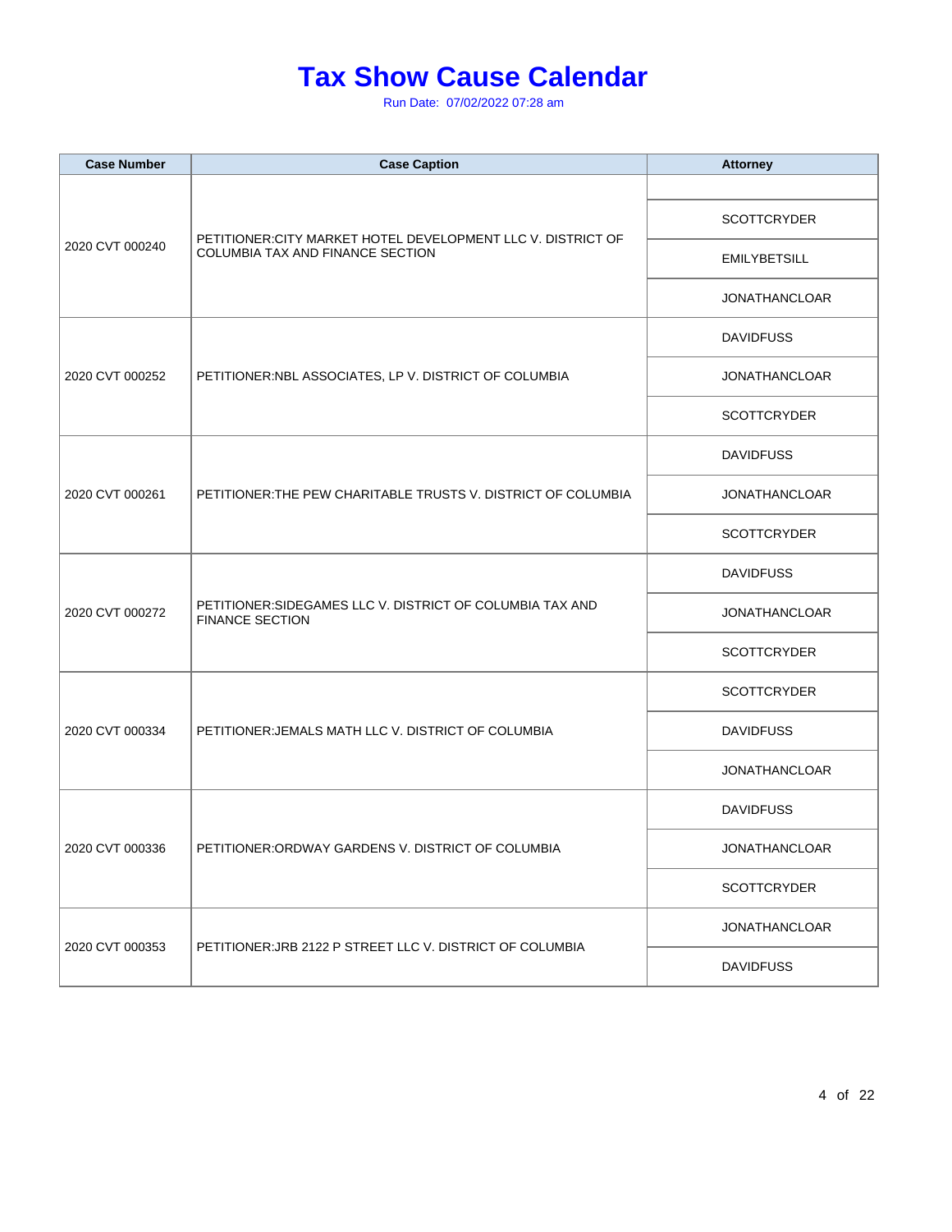| <b>Case Number</b> | <b>Case Caption</b>                                                                              | <b>Attorney</b>      |
|--------------------|--------------------------------------------------------------------------------------------------|----------------------|
|                    |                                                                                                  |                      |
|                    |                                                                                                  | <b>SCOTTCRYDER</b>   |
| 2020 CVT 000240    | PETITIONER: CITY MARKET HOTEL DEVELOPMENT LLC V. DISTRICT OF<br>COLUMBIA TAX AND FINANCE SECTION | <b>EMILYBETSILL</b>  |
|                    |                                                                                                  | <b>JONATHANCLOAR</b> |
|                    |                                                                                                  | <b>DAVIDFUSS</b>     |
| 2020 CVT 000252    | PETITIONER:NBL ASSOCIATES, LP V. DISTRICT OF COLUMBIA                                            | <b>JONATHANCLOAR</b> |
|                    |                                                                                                  | <b>SCOTTCRYDER</b>   |
|                    |                                                                                                  | <b>DAVIDFUSS</b>     |
| 2020 CVT 000261    | PETITIONER: THE PEW CHARITABLE TRUSTS V. DISTRICT OF COLUMBIA                                    | <b>JONATHANCLOAR</b> |
|                    |                                                                                                  | SCOTTCRYDER          |
|                    | PETITIONER: SIDEGAMES LLC V. DISTRICT OF COLUMBIA TAX AND<br><b>FINANCE SECTION</b>              | <b>DAVIDFUSS</b>     |
| 2020 CVT 000272    |                                                                                                  | <b>JONATHANCLOAR</b> |
|                    |                                                                                                  | <b>SCOTTCRYDER</b>   |
|                    |                                                                                                  | <b>SCOTTCRYDER</b>   |
| 2020 CVT 000334    | PETITIONER: JEMALS MATH LLC V. DISTRICT OF COLUMBIA                                              | <b>DAVIDFUSS</b>     |
|                    |                                                                                                  | <b>JONATHANCLOAR</b> |
|                    |                                                                                                  | <b>DAVIDFUSS</b>     |
| 2020 CVT 000336    | PETITIONER: ORDWAY GARDENS V. DISTRICT OF COLUMBIA                                               | JONATHANCLOAR        |
|                    |                                                                                                  | <b>SCOTTCRYDER</b>   |
|                    |                                                                                                  | <b>JONATHANCLOAR</b> |
| 2020 CVT 000353    | PETITIONER: JRB 2122 P STREET LLC V. DISTRICT OF COLUMBIA                                        | <b>DAVIDFUSS</b>     |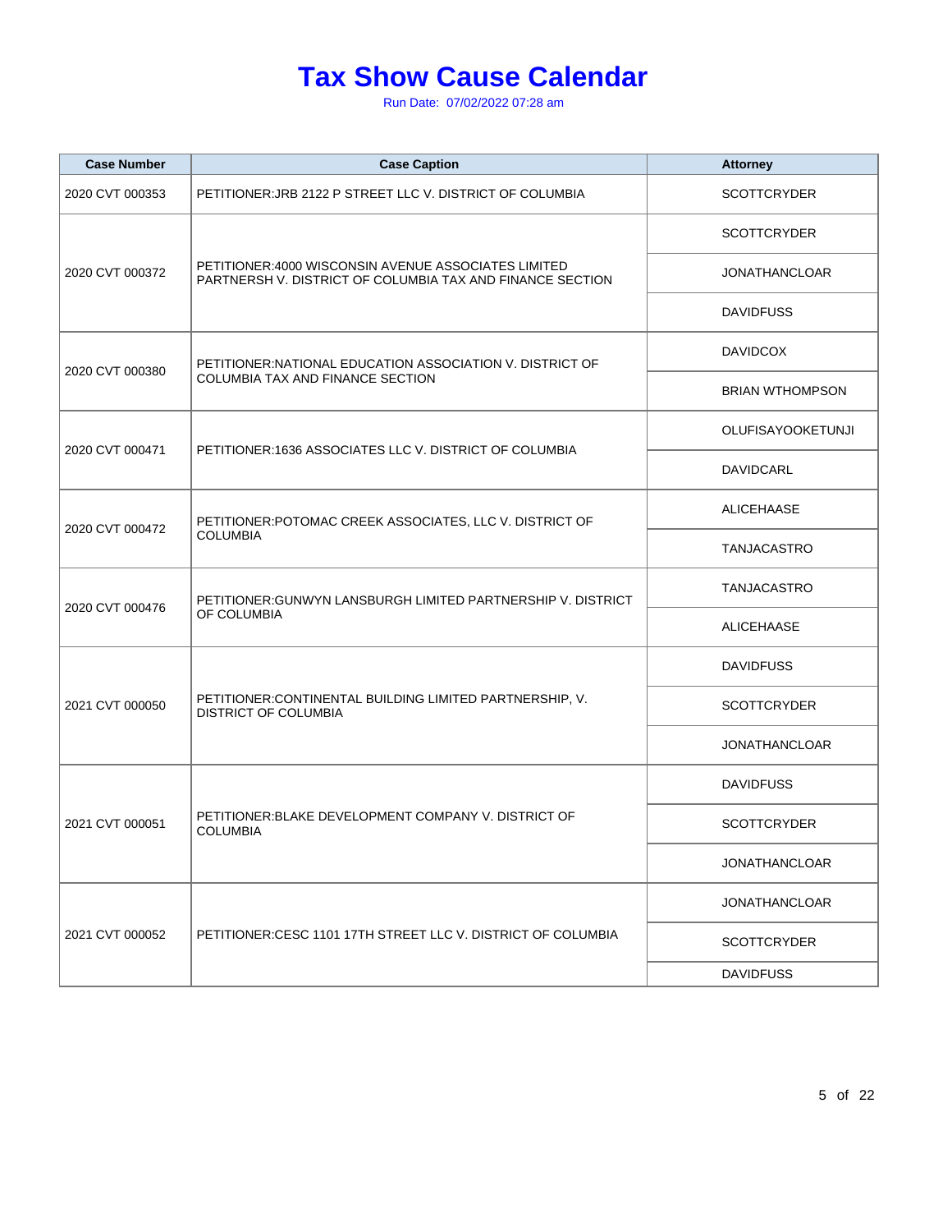| <b>Case Number</b> | <b>Case Caption</b>                                                                                               | <b>Attorney</b>          |
|--------------------|-------------------------------------------------------------------------------------------------------------------|--------------------------|
| 2020 CVT 000353    | PETITIONER: JRB 2122 P STREET LLC V. DISTRICT OF COLUMBIA                                                         | <b>SCOTTCRYDER</b>       |
|                    |                                                                                                                   | <b>SCOTTCRYDER</b>       |
| 2020 CVT 000372    | PETITIONER: 4000 WISCONSIN AVENUE ASSOCIATES LIMITED<br>PARTNERSH V. DISTRICT OF COLUMBIA TAX AND FINANCE SECTION | <b>JONATHANCLOAR</b>     |
|                    |                                                                                                                   | <b>DAVIDFUSS</b>         |
| 2020 CVT 000380    | PETITIONER: NATIONAL EDUCATION ASSOCIATION V. DISTRICT OF                                                         | <b>DAVIDCOX</b>          |
|                    | COLUMBIA TAX AND FINANCE SECTION                                                                                  | <b>BRIAN WTHOMPSON</b>   |
|                    |                                                                                                                   | <b>OLUFISAYOOKETUNJI</b> |
| 2020 CVT 000471    | PETITIONER:1636 ASSOCIATES LLC V. DISTRICT OF COLUMBIA                                                            | DAVIDCARL                |
|                    | PETITIONER: POTOMAC CREEK ASSOCIATES, LLC V. DISTRICT OF                                                          | <b>ALICEHAASE</b>        |
| 2020 CVT 000472    | <b>COLUMBIA</b>                                                                                                   | TANJACASTRO              |
|                    | PETITIONER: GUNWYN LANSBURGH LIMITED PARTNERSHIP V. DISTRICT                                                      | TANJACASTRO              |
| 2020 CVT 000476    | OF COLUMBIA                                                                                                       | <b>ALICEHAASE</b>        |
|                    | PETITIONER: CONTINENTAL BUILDING LIMITED PARTNERSHIP, V.<br><b>DISTRICT OF COLUMBIA</b>                           | <b>DAVIDFUSS</b>         |
| 2021 CVT 000050    |                                                                                                                   | <b>SCOTTCRYDER</b>       |
|                    |                                                                                                                   | <b>JONATHANCLOAR</b>     |
|                    | PETITIONER: BLAKE DEVELOPMENT COMPANY V. DISTRICT OF<br><b>COLUMBIA</b>                                           | <b>DAVIDFUSS</b>         |
| 2021 CVT 000051    |                                                                                                                   | <b>SCOTTCRYDER</b>       |
|                    |                                                                                                                   | <b>JONATHANCLOAR</b>     |
|                    |                                                                                                                   | <b>JONATHANCLOAR</b>     |
| 2021 CVT 000052    | PETITIONER: CESC 1101 17TH STREET LLC V. DISTRICT OF COLUMBIA                                                     | <b>SCOTTCRYDER</b>       |
|                    |                                                                                                                   | <b>DAVIDFUSS</b>         |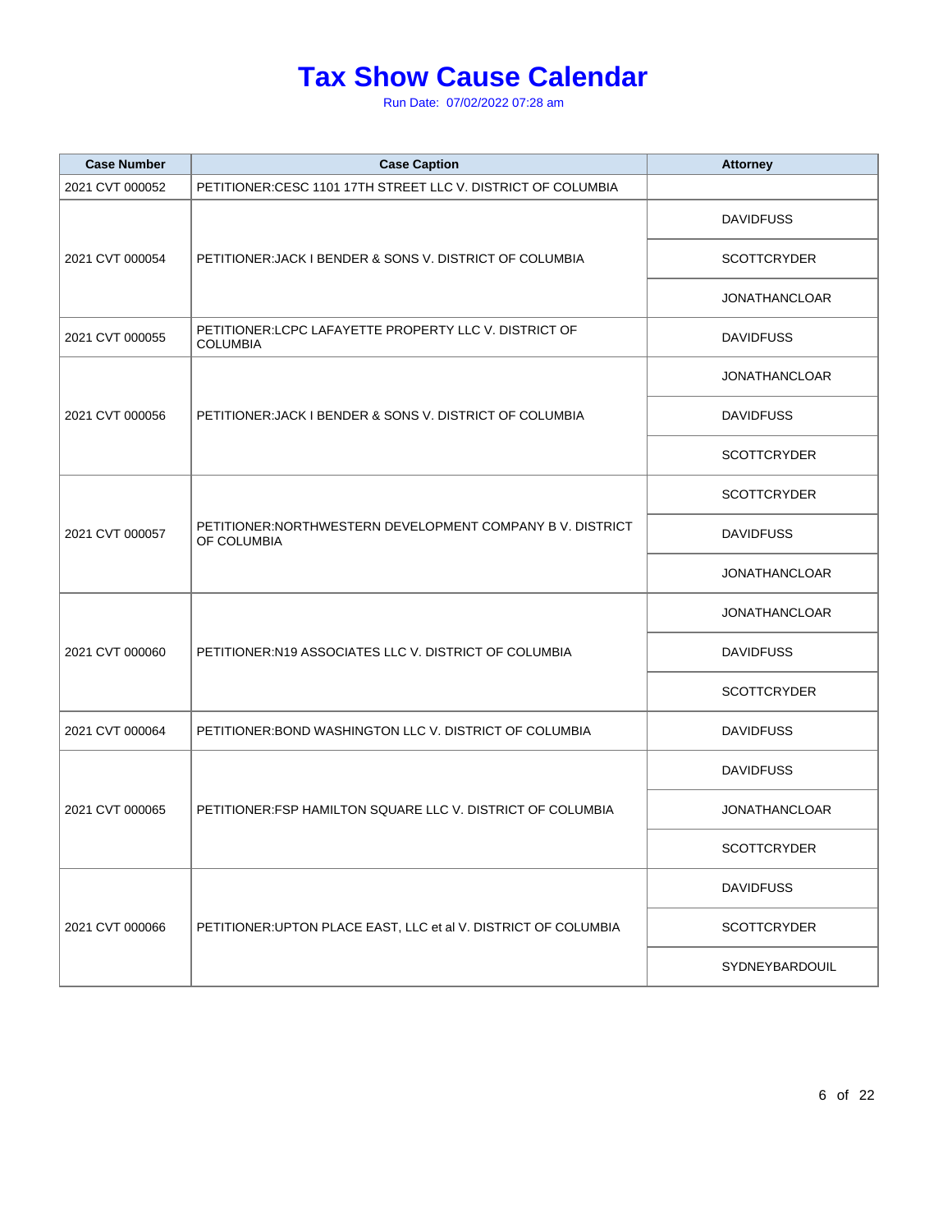| <b>Case Number</b> | <b>Case Caption</b>                                                       | <b>Attorney</b>      |
|--------------------|---------------------------------------------------------------------------|----------------------|
| 2021 CVT 000052    | PETITIONER:CESC 1101 17TH STREET LLC V. DISTRICT OF COLUMBIA              |                      |
|                    |                                                                           | <b>DAVIDFUSS</b>     |
| 2021 CVT 000054    | PETITIONER: JACK I BENDER & SONS V. DISTRICT OF COLUMBIA                  | <b>SCOTTCRYDER</b>   |
|                    |                                                                           | <b>JONATHANCLOAR</b> |
| 2021 CVT 000055    | PETITIONER:LCPC LAFAYETTE PROPERTY LLC V. DISTRICT OF<br><b>COLUMBIA</b>  | <b>DAVIDFUSS</b>     |
|                    |                                                                           | <b>JONATHANCLOAR</b> |
| 2021 CVT 000056    | PETITIONER: JACK I BENDER & SONS V. DISTRICT OF COLUMBIA                  | <b>DAVIDFUSS</b>     |
|                    |                                                                           | <b>SCOTTCRYDER</b>   |
|                    |                                                                           | <b>SCOTTCRYDER</b>   |
| 2021 CVT 000057    | PETITIONER: NORTHWESTERN DEVELOPMENT COMPANY B V. DISTRICT<br>OF COLUMBIA | <b>DAVIDFUSS</b>     |
|                    |                                                                           | <b>JONATHANCLOAR</b> |
|                    |                                                                           | <b>JONATHANCLOAR</b> |
| 2021 CVT 000060    | PETITIONER: N19 ASSOCIATES LLC V. DISTRICT OF COLUMBIA                    | <b>DAVIDFUSS</b>     |
|                    |                                                                           | <b>SCOTTCRYDER</b>   |
| 2021 CVT 000064    | PETITIONER: BOND WASHINGTON LLC V. DISTRICT OF COLUMBIA                   | <b>DAVIDFUSS</b>     |
|                    | PETITIONER: FSP HAMILTON SQUARE LLC V. DISTRICT OF COLUMBIA               | <b>DAVIDFUSS</b>     |
| 2021 CVT 000065    |                                                                           | <b>JONATHANCLOAR</b> |
|                    |                                                                           | <b>SCOTTCRYDER</b>   |
|                    | PETITIONER: UPTON PLACE EAST, LLC et al V. DISTRICT OF COLUMBIA           | <b>DAVIDFUSS</b>     |
| 2021 CVT 000066    |                                                                           | <b>SCOTTCRYDER</b>   |
|                    |                                                                           | SYDNEYBARDOUIL       |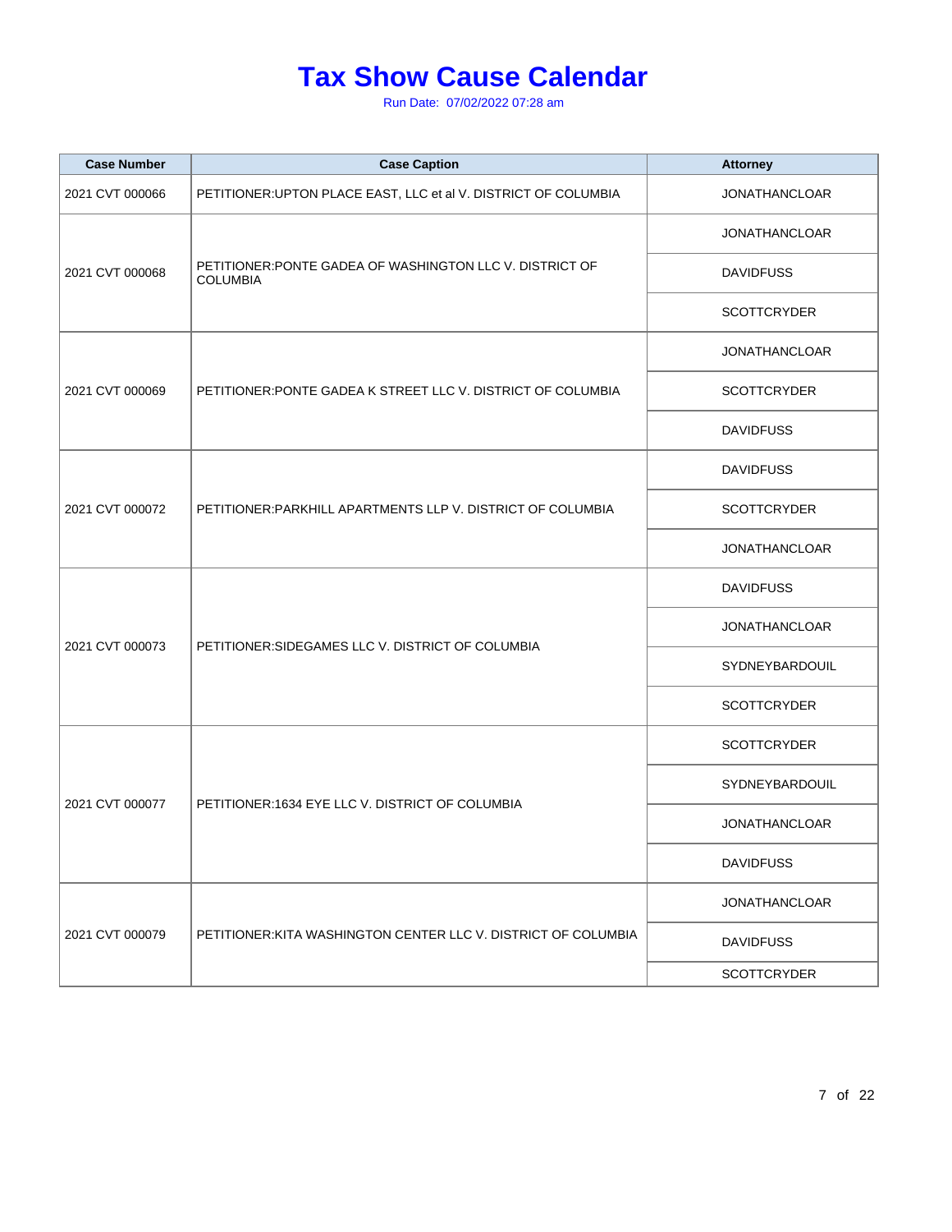| <b>Case Number</b> | <b>Case Caption</b>                                                         | <b>Attorney</b>      |
|--------------------|-----------------------------------------------------------------------------|----------------------|
| 2021 CVT 000066    | PETITIONER: UPTON PLACE EAST, LLC et al V. DISTRICT OF COLUMBIA             | <b>JONATHANCLOAR</b> |
|                    |                                                                             | <b>JONATHANCLOAR</b> |
| 2021 CVT 000068    | PETITIONER: PONTE GADEA OF WASHINGTON LLC V. DISTRICT OF<br><b>COLUMBIA</b> | <b>DAVIDFUSS</b>     |
|                    |                                                                             | <b>SCOTTCRYDER</b>   |
|                    |                                                                             | <b>JONATHANCLOAR</b> |
| 2021 CVT 000069    | PETITIONER: PONTE GADEA K STREET LLC V. DISTRICT OF COLUMBIA                | <b>SCOTTCRYDER</b>   |
|                    |                                                                             | <b>DAVIDFUSS</b>     |
|                    |                                                                             | <b>DAVIDFUSS</b>     |
| 2021 CVT 000072    | PETITIONER: PARKHILL APARTMENTS LLP V. DISTRICT OF COLUMBIA                 | <b>SCOTTCRYDER</b>   |
|                    |                                                                             | <b>JONATHANCLOAR</b> |
|                    | PETITIONER: SIDEGAMES LLC V. DISTRICT OF COLUMBIA                           | <b>DAVIDFUSS</b>     |
| 2021 CVT 000073    |                                                                             | <b>JONATHANCLOAR</b> |
|                    |                                                                             | SYDNEYBARDOUIL       |
|                    |                                                                             | <b>SCOTTCRYDER</b>   |
|                    |                                                                             | <b>SCOTTCRYDER</b>   |
| 2021 CVT 000077    | PETITIONER:1634 EYE LLC V. DISTRICT OF COLUMBIA                             | SYDNEYBARDOUIL       |
|                    |                                                                             | <b>JONATHANCLOAR</b> |
|                    |                                                                             | <b>DAVIDFUSS</b>     |
|                    | PETITIONER: KITA WASHINGTON CENTER LLC V. DISTRICT OF COLUMBIA              | <b>JONATHANCLOAR</b> |
| 2021 CVT 000079    |                                                                             | <b>DAVIDFUSS</b>     |
|                    |                                                                             | <b>SCOTTCRYDER</b>   |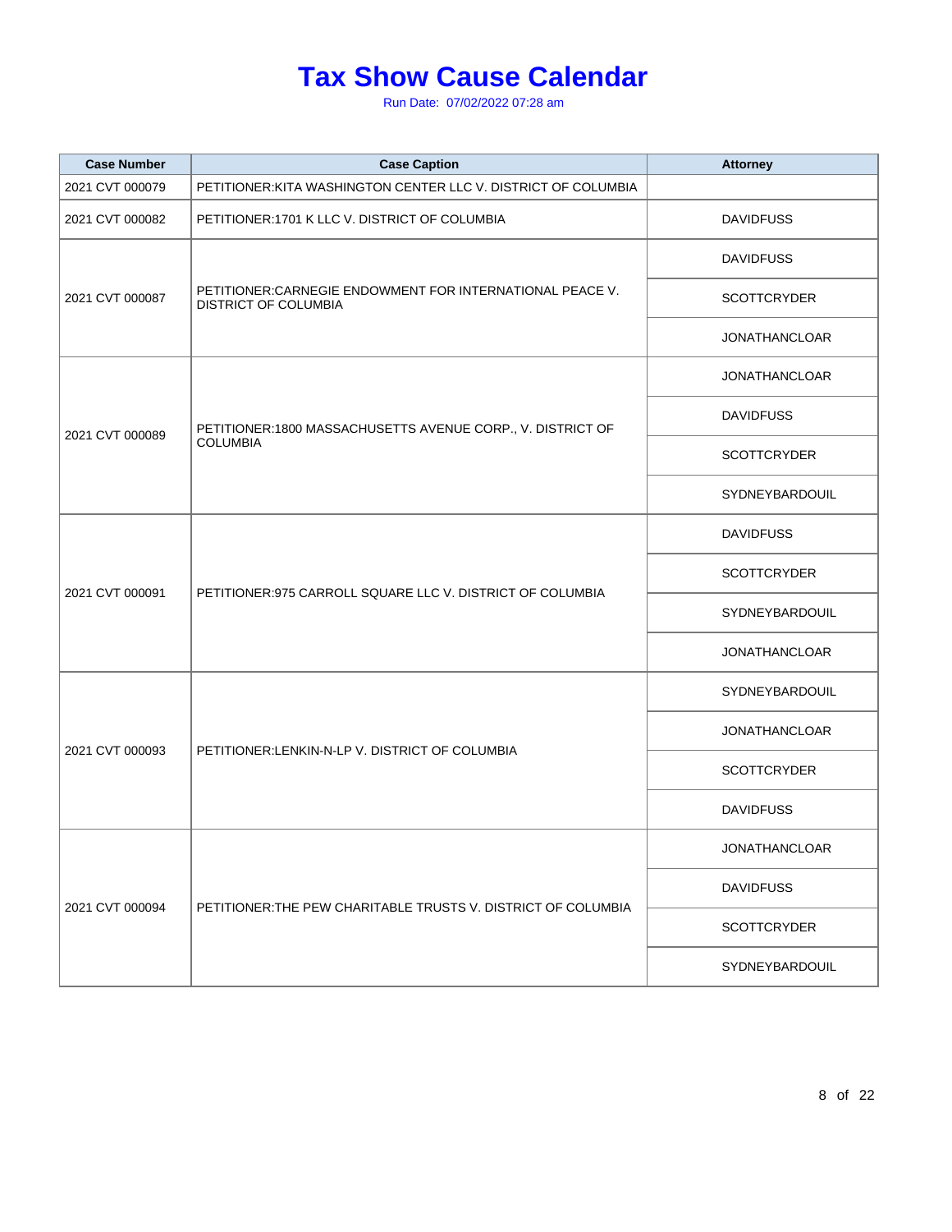| <b>Case Number</b> | <b>Case Caption</b>                                                                      | <b>Attorney</b>      |
|--------------------|------------------------------------------------------------------------------------------|----------------------|
| 2021 CVT 000079    | PETITIONER: KITA WASHINGTON CENTER LLC V. DISTRICT OF COLUMBIA                           |                      |
| 2021 CVT 000082    | PETITIONER:1701 K LLC V. DISTRICT OF COLUMBIA                                            | <b>DAVIDFUSS</b>     |
|                    |                                                                                          | <b>DAVIDFUSS</b>     |
| 2021 CVT 000087    | PETITIONER: CARNEGIE ENDOWMENT FOR INTERNATIONAL PEACE V.<br><b>DISTRICT OF COLUMBIA</b> | <b>SCOTTCRYDER</b>   |
|                    |                                                                                          | <b>JONATHANCLOAR</b> |
|                    |                                                                                          | <b>JONATHANCLOAR</b> |
| 2021 CVT 000089    | PETITIONER:1800 MASSACHUSETTS AVENUE CORP., V. DISTRICT OF                               | <b>DAVIDFUSS</b>     |
|                    | <b>COLUMBIA</b>                                                                          | <b>SCOTTCRYDER</b>   |
|                    |                                                                                          | SYDNEYBARDOUIL       |
|                    | PETITIONER: 975 CARROLL SQUARE LLC V. DISTRICT OF COLUMBIA                               | <b>DAVIDFUSS</b>     |
| 2021 CVT 000091    |                                                                                          | <b>SCOTTCRYDER</b>   |
|                    |                                                                                          | SYDNEYBARDOUIL       |
|                    |                                                                                          | <b>JONATHANCLOAR</b> |
|                    | PETITIONER:LENKIN-N-LP V. DISTRICT OF COLUMBIA                                           | SYDNEYBARDOUIL       |
| 2021 CVT 000093    |                                                                                          | <b>JONATHANCLOAR</b> |
|                    |                                                                                          | <b>SCOTTCRYDER</b>   |
|                    |                                                                                          | <b>DAVIDFUSS</b>     |
|                    | PETITIONER: THE PEW CHARITABLE TRUSTS V. DISTRICT OF COLUMBIA                            | <b>JONATHANCLOAR</b> |
| 2021 CVT 000094    |                                                                                          | <b>DAVIDFUSS</b>     |
|                    |                                                                                          | <b>SCOTTCRYDER</b>   |
|                    |                                                                                          | SYDNEYBARDOUIL       |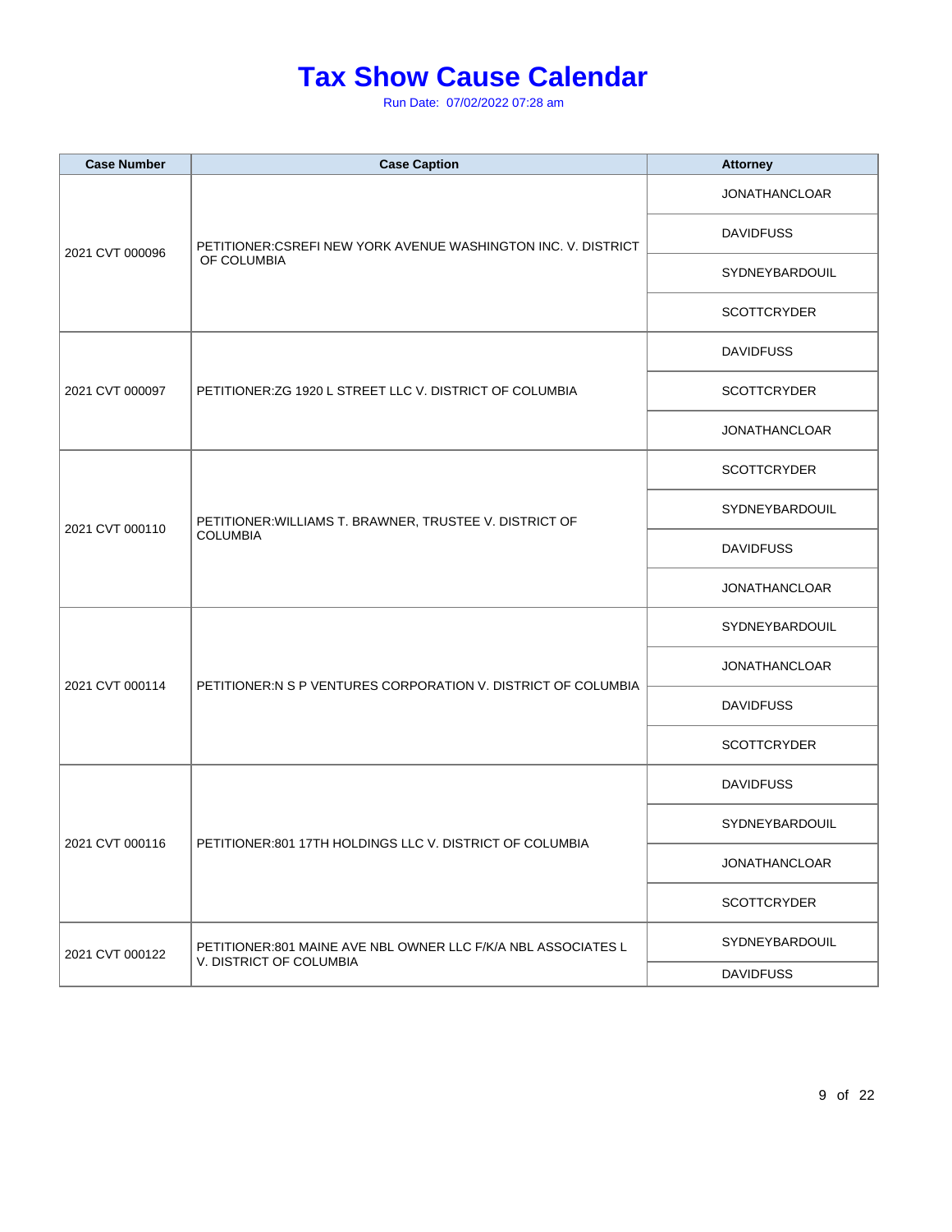| <b>Case Number</b> | <b>Case Caption</b>                                                                      | <b>Attorney</b>      |
|--------------------|------------------------------------------------------------------------------------------|----------------------|
|                    | PETITIONER: CSREFI NEW YORK AVENUE WASHINGTON INC. V. DISTRICT                           | <b>JONATHANCLOAR</b> |
|                    |                                                                                          | <b>DAVIDFUSS</b>     |
| 2021 CVT 000096    | OF COLUMBIA                                                                              | SYDNEYBARDOUIL       |
|                    |                                                                                          | <b>SCOTTCRYDER</b>   |
|                    |                                                                                          | <b>DAVIDFUSS</b>     |
| 2021 CVT 000097    | PETITIONER: ZG 1920 L STREET LLC V. DISTRICT OF COLUMBIA                                 | <b>SCOTTCRYDER</b>   |
|                    |                                                                                          | <b>JONATHANCLOAR</b> |
|                    |                                                                                          | <b>SCOTTCRYDER</b>   |
|                    | PETITIONER: WILLIAMS T. BRAWNER, TRUSTEE V. DISTRICT OF<br><b>COLUMBIA</b>               | SYDNEYBARDOUIL       |
| 2021 CVT 000110    |                                                                                          | <b>DAVIDFUSS</b>     |
|                    |                                                                                          | <b>JONATHANCLOAR</b> |
|                    | PETITIONER:N S P VENTURES CORPORATION V. DISTRICT OF COLUMBIA                            | SYDNEYBARDOUIL       |
|                    |                                                                                          | <b>JONATHANCLOAR</b> |
| 2021 CVT 000114    |                                                                                          | <b>DAVIDFUSS</b>     |
|                    |                                                                                          | <b>SCOTTCRYDER</b>   |
|                    |                                                                                          | <b>DAVIDFUSS</b>     |
|                    |                                                                                          | SYDNEYBARDOUIL       |
| 2021 CVT 000116    | PETITIONER:801 17TH HOLDINGS LLC V. DISTRICT OF COLUMBIA                                 | <b>JONATHANCLOAR</b> |
|                    |                                                                                          | <b>SCOTTCRYDER</b>   |
| 2021 CVT 000122    | PETITIONER:801 MAINE AVE NBL OWNER LLC F/K/A NBL ASSOCIATES L<br>V. DISTRICT OF COLUMBIA | SYDNEYBARDOUIL       |
|                    |                                                                                          | <b>DAVIDFUSS</b>     |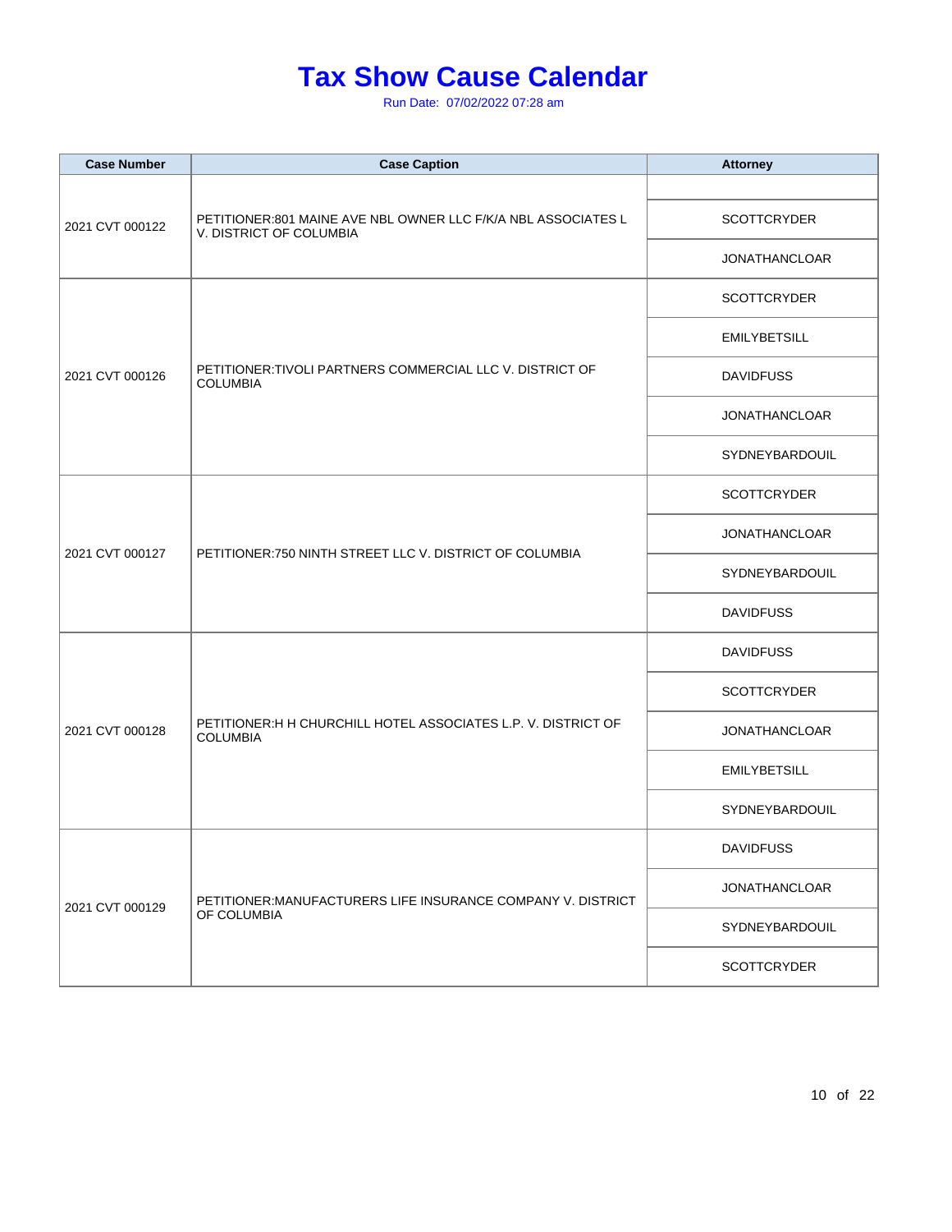| <b>Case Number</b> | <b>Case Caption</b>                                                                      | <b>Attorney</b>      |
|--------------------|------------------------------------------------------------------------------------------|----------------------|
| 2021 CVT 000122    | PETITIONER:801 MAINE AVE NBL OWNER LLC F/K/A NBL ASSOCIATES L<br>V. DISTRICT OF COLUMBIA |                      |
|                    |                                                                                          | <b>SCOTTCRYDER</b>   |
|                    |                                                                                          | <b>JONATHANCLOAR</b> |
|                    |                                                                                          | <b>SCOTTCRYDER</b>   |
|                    |                                                                                          | <b>EMILYBETSILL</b>  |
| 2021 CVT 000126    | PETITIONER: TIVOLI PARTNERS COMMERCIAL LLC V. DISTRICT OF<br><b>COLUMBIA</b>             | <b>DAVIDFUSS</b>     |
|                    |                                                                                          | <b>JONATHANCLOAR</b> |
|                    |                                                                                          | SYDNEYBARDOUIL       |
|                    |                                                                                          | <b>SCOTTCRYDER</b>   |
|                    | PETITIONER: 750 NINTH STREET LLC V. DISTRICT OF COLUMBIA                                 | <b>JONATHANCLOAR</b> |
| 2021 CVT 000127    |                                                                                          | SYDNEYBARDOUIL       |
|                    |                                                                                          | <b>DAVIDFUSS</b>     |
|                    | PETITIONER: H H CHURCHILL HOTEL ASSOCIATES L.P. V. DISTRICT OF<br><b>COLUMBIA</b>        | <b>DAVIDFUSS</b>     |
|                    |                                                                                          | <b>SCOTTCRYDER</b>   |
| 2021 CVT 000128    |                                                                                          | <b>JONATHANCLOAR</b> |
|                    |                                                                                          | <b>EMILYBETSILL</b>  |
|                    |                                                                                          | SYDNEYBARDOUIL       |
|                    | PETITIONER:MANUFACTURERS LIFE INSURANCE COMPANY V. DISTRICT<br>OF COLUMBIA               | <b>DAVIDFUSS</b>     |
|                    |                                                                                          | <b>JONATHANCLOAR</b> |
| 2021 CVT 000129    |                                                                                          | SYDNEYBARDOUIL       |
|                    |                                                                                          | <b>SCOTTCRYDER</b>   |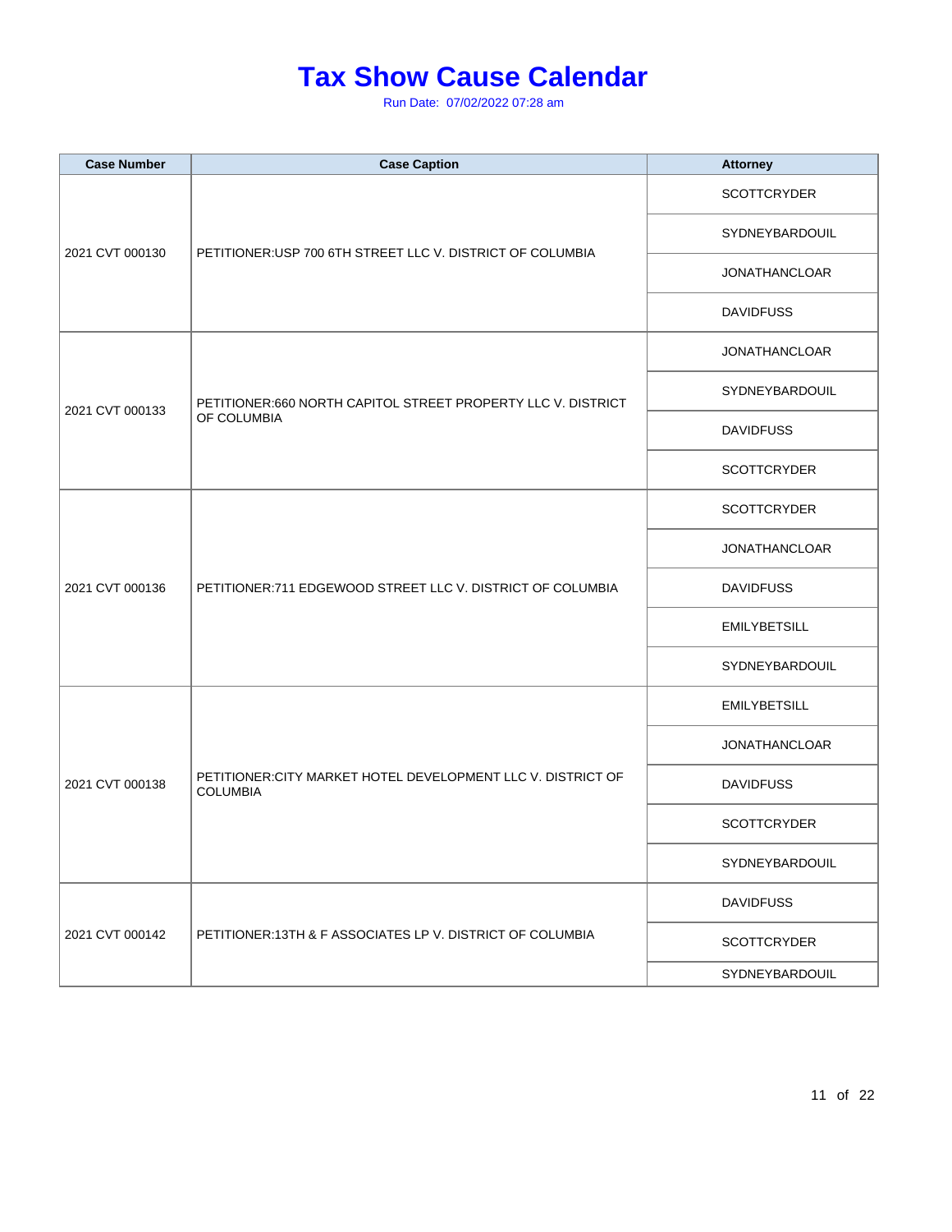| <b>Case Number</b> | <b>Case Caption</b>                                                             | <b>Attorney</b>      |
|--------------------|---------------------------------------------------------------------------------|----------------------|
|                    |                                                                                 | <b>SCOTTCRYDER</b>   |
|                    |                                                                                 | SYDNEYBARDOUIL       |
| 2021 CVT 000130    | PETITIONER: USP 700 6TH STREET LLC V. DISTRICT OF COLUMBIA                      | <b>JONATHANCLOAR</b> |
|                    |                                                                                 | <b>DAVIDFUSS</b>     |
|                    |                                                                                 | <b>JONATHANCLOAR</b> |
|                    | PETITIONER:660 NORTH CAPITOL STREET PROPERTY LLC V. DISTRICT                    | SYDNEYBARDOUIL       |
| 2021 CVT 000133    | OF COLUMBIA                                                                     | <b>DAVIDFUSS</b>     |
|                    |                                                                                 | <b>SCOTTCRYDER</b>   |
|                    | PETITIONER:711 EDGEWOOD STREET LLC V. DISTRICT OF COLUMBIA                      | <b>SCOTTCRYDER</b>   |
|                    |                                                                                 | <b>JONATHANCLOAR</b> |
| 2021 CVT 000136    |                                                                                 | <b>DAVIDFUSS</b>     |
|                    |                                                                                 | <b>EMILYBETSILL</b>  |
|                    |                                                                                 | SYDNEYBARDOUIL       |
|                    | PETITIONER: CITY MARKET HOTEL DEVELOPMENT LLC V. DISTRICT OF<br><b>COLUMBIA</b> | <b>EMILYBETSILL</b>  |
|                    |                                                                                 | <b>JONATHANCLOAR</b> |
| 2021 CVT 000138    |                                                                                 | <b>DAVIDFUSS</b>     |
|                    |                                                                                 | <b>SCOTTCRYDER</b>   |
|                    |                                                                                 | SYDNEYBARDOUIL       |
|                    | PETITIONER:13TH & F ASSOCIATES LP V. DISTRICT OF COLUMBIA                       | <b>DAVIDFUSS</b>     |
| 2021 CVT 000142    |                                                                                 | <b>SCOTTCRYDER</b>   |
|                    |                                                                                 | SYDNEYBARDOUIL       |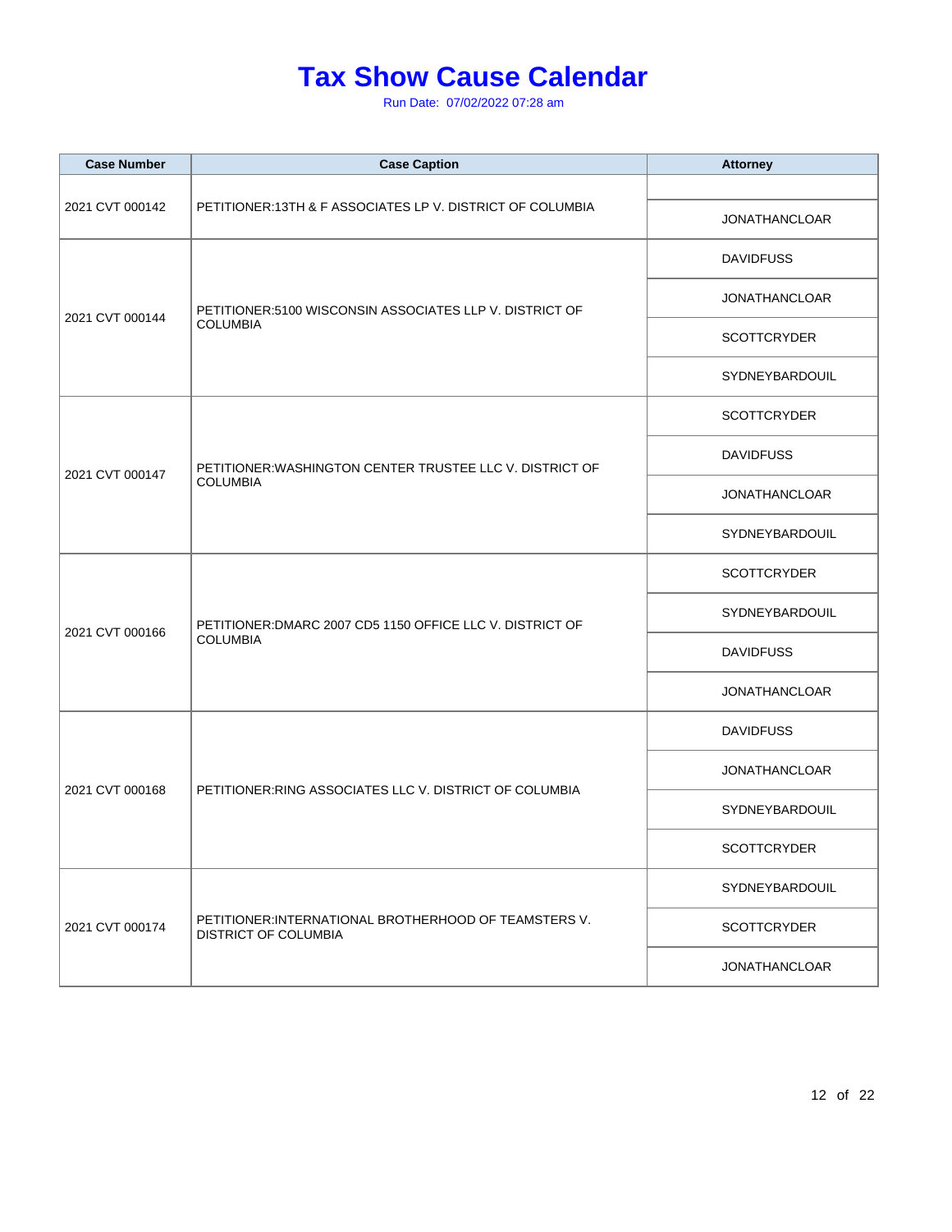| <b>Case Number</b> | <b>Case Caption</b>                                                                  | <b>Attorney</b>      |
|--------------------|--------------------------------------------------------------------------------------|----------------------|
|                    |                                                                                      |                      |
| 2021 CVT 000142    | PETITIONER:13TH & F ASSOCIATES LP V. DISTRICT OF COLUMBIA                            | <b>JONATHANCLOAR</b> |
|                    |                                                                                      | <b>DAVIDFUSS</b>     |
|                    | PETITIONER:5100 WISCONSIN ASSOCIATES LLP V. DISTRICT OF                              | <b>JONATHANCLOAR</b> |
| 2021 CVT 000144    | <b>COLUMBIA</b>                                                                      | <b>SCOTTCRYDER</b>   |
|                    |                                                                                      | SYDNEYBARDOUIL       |
|                    |                                                                                      | <b>SCOTTCRYDER</b>   |
| 2021 CVT 000147    | PETITIONER: WASHINGTON CENTER TRUSTEE LLC V. DISTRICT OF                             | <b>DAVIDFUSS</b>     |
|                    | <b>COLUMBIA</b>                                                                      | <b>JONATHANCLOAR</b> |
|                    |                                                                                      | SYDNEYBARDOUIL       |
|                    | PETITIONER: DMARC 2007 CD5 1150 OFFICE LLC V. DISTRICT OF<br><b>COLUMBIA</b>         | <b>SCOTTCRYDER</b>   |
|                    |                                                                                      | SYDNEYBARDOUIL       |
| 2021 CVT 000166    |                                                                                      | <b>DAVIDFUSS</b>     |
|                    |                                                                                      | <b>JONATHANCLOAR</b> |
|                    | PETITIONER: RING ASSOCIATES LLC V. DISTRICT OF COLUMBIA                              | <b>DAVIDFUSS</b>     |
|                    |                                                                                      | <b>JONATHANCLOAR</b> |
| 2021 CVT 000168    |                                                                                      | SYDNEYBARDOUIL       |
|                    |                                                                                      | <b>SCOTTCRYDER</b>   |
|                    | PETITIONER: INTERNATIONAL BROTHERHOOD OF TEAMSTERS V.<br><b>DISTRICT OF COLUMBIA</b> | SYDNEYBARDOUIL       |
| 2021 CVT 000174    |                                                                                      | <b>SCOTTCRYDER</b>   |
|                    |                                                                                      | <b>JONATHANCLOAR</b> |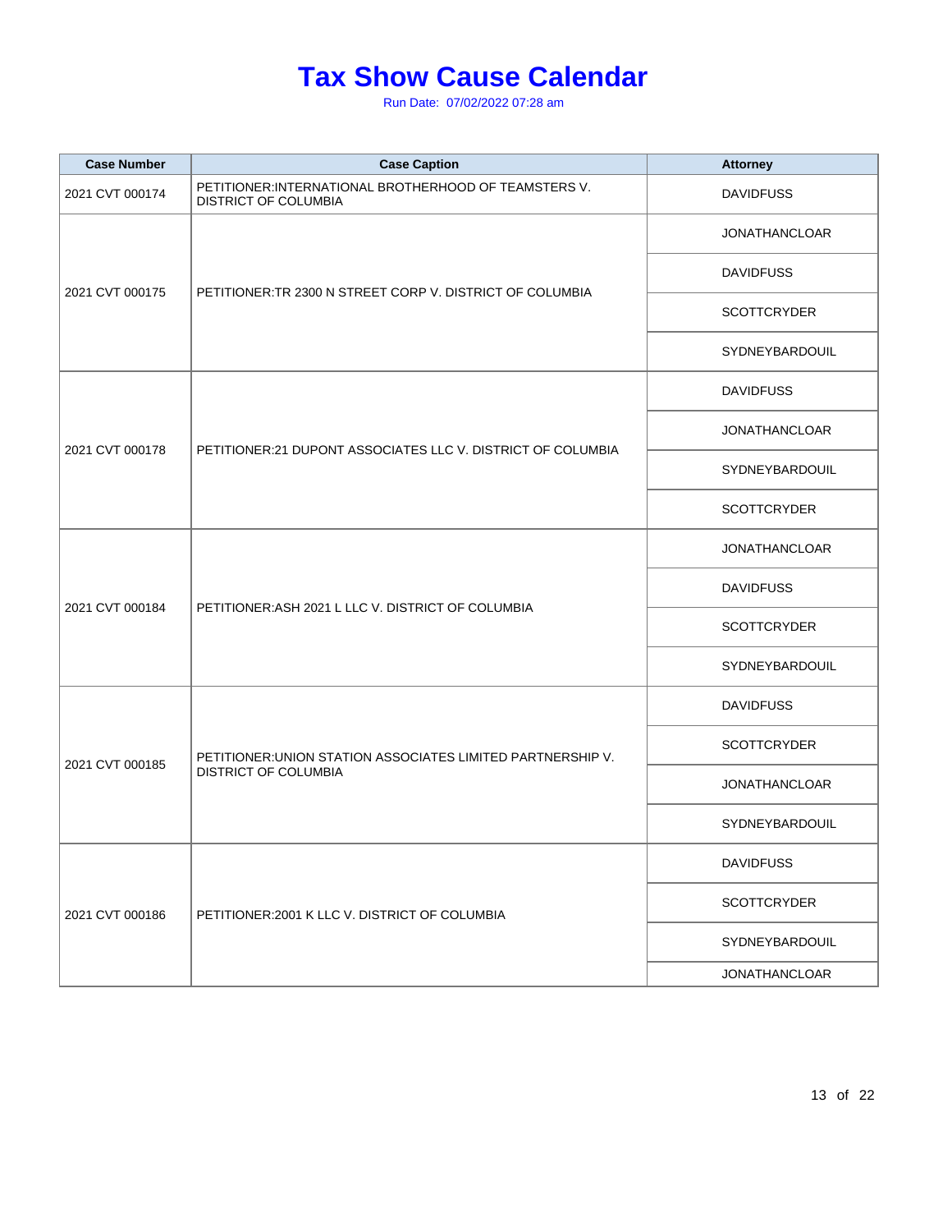| <b>Case Number</b> | <b>Case Caption</b>                                                                        | <b>Attorney</b>      |
|--------------------|--------------------------------------------------------------------------------------------|----------------------|
| 2021 CVT 000174    | PETITIONER: INTERNATIONAL BROTHERHOOD OF TEAMSTERS V.<br>DISTRICT OF COLUMBIA              | <b>DAVIDFUSS</b>     |
| 2021 CVT 000175    | PETITIONER:TR 2300 N STREET CORP V. DISTRICT OF COLUMBIA                                   | <b>JONATHANCLOAR</b> |
|                    |                                                                                            | <b>DAVIDFUSS</b>     |
|                    |                                                                                            | <b>SCOTTCRYDER</b>   |
|                    |                                                                                            | SYDNEYBARDOUIL       |
|                    |                                                                                            | <b>DAVIDFUSS</b>     |
| 2021 CVT 000178    |                                                                                            | <b>JONATHANCLOAR</b> |
|                    | PETITIONER:21 DUPONT ASSOCIATES LLC V. DISTRICT OF COLUMBIA                                | SYDNEYBARDOUIL       |
|                    |                                                                                            | <b>SCOTTCRYDER</b>   |
|                    | PETITIONER: ASH 2021 L LLC V. DISTRICT OF COLUMBIA                                         | <b>JONATHANCLOAR</b> |
| 2021 CVT 000184    |                                                                                            | <b>DAVIDFUSS</b>     |
|                    |                                                                                            | <b>SCOTTCRYDER</b>   |
|                    |                                                                                            | SYDNEYBARDOUIL       |
|                    | PETITIONER: UNION STATION ASSOCIATES LIMITED PARTNERSHIP V.<br><b>DISTRICT OF COLUMBIA</b> | <b>DAVIDFUSS</b>     |
| 2021 CVT 000185    |                                                                                            | <b>SCOTTCRYDER</b>   |
|                    |                                                                                            | <b>JONATHANCLOAR</b> |
|                    |                                                                                            | SYDNEYBARDOUIL       |
|                    | PETITIONER: 2001 K LLC V. DISTRICT OF COLUMBIA                                             | <b>DAVIDFUSS</b>     |
| 2021 CVT 000186    |                                                                                            | <b>SCOTTCRYDER</b>   |
|                    |                                                                                            | SYDNEYBARDOUIL       |
|                    |                                                                                            | <b>JONATHANCLOAR</b> |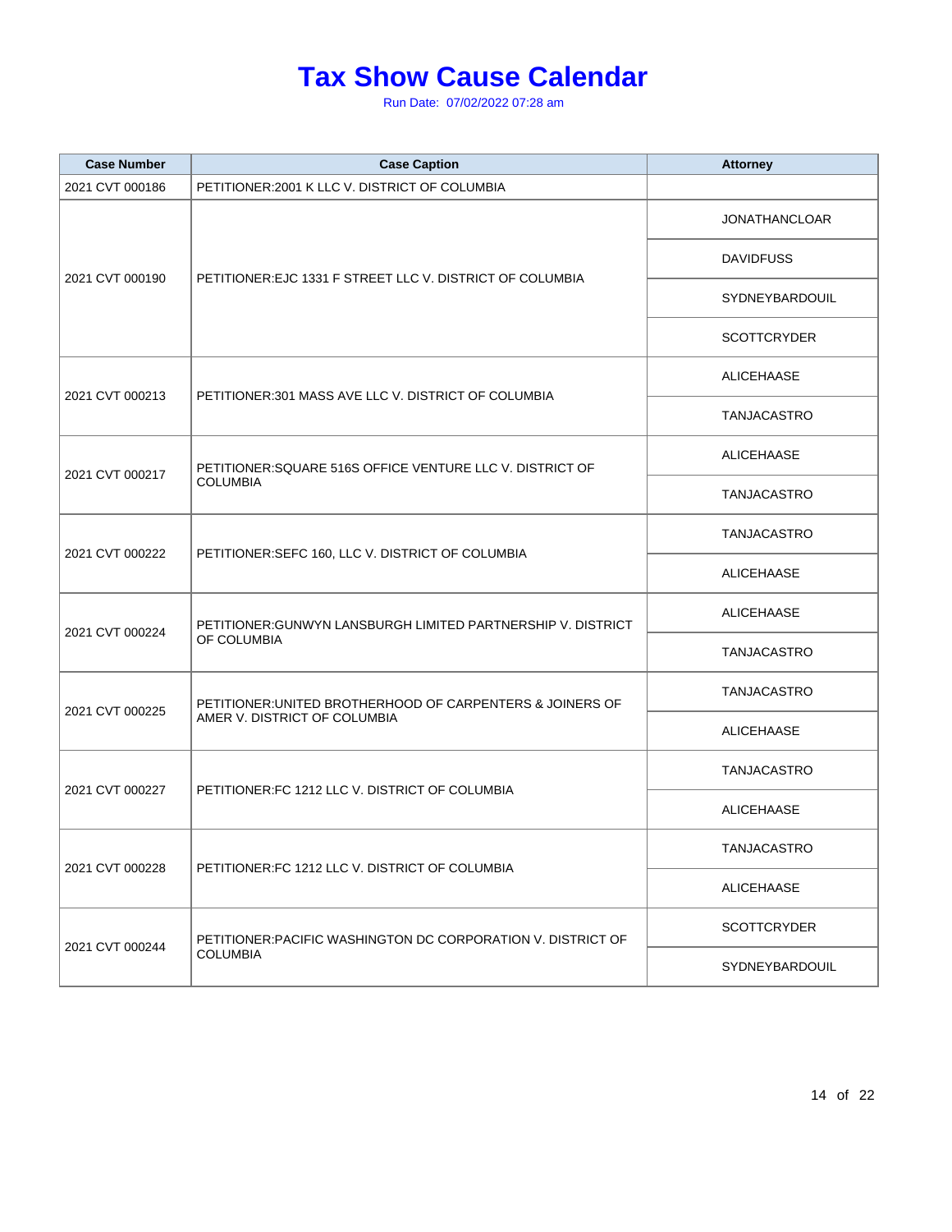| <b>Case Number</b> | <b>Case Caption</b>                                                                       | <b>Attorney</b>    |
|--------------------|-------------------------------------------------------------------------------------------|--------------------|
| 2021 CVT 000186    | PETITIONER: 2001 K LLC V. DISTRICT OF COLUMBIA                                            |                    |
|                    |                                                                                           | JONATHANCLOAR      |
|                    |                                                                                           | <b>DAVIDFUSS</b>   |
| 2021 CVT 000190    | PETITIONER: EJC 1331 F STREET LLC V. DISTRICT OF COLUMBIA                                 | SYDNEYBARDOUIL     |
|                    |                                                                                           | <b>SCOTTCRYDER</b> |
|                    |                                                                                           | ALICEHAASE         |
| 2021 CVT 000213    | PETITIONER:301 MASS AVE LLC V. DISTRICT OF COLUMBIA                                       | TANJACASTRO        |
|                    | PETITIONER:SQUARE 516S OFFICE VENTURE LLC V. DISTRICT OF                                  | ALICEHAASE         |
| 2021 CVT 000217    | <b>COLUMBIA</b>                                                                           | TANJACASTRO        |
|                    | PETITIONER:SEFC 160, LLC V. DISTRICT OF COLUMBIA                                          | TANJACASTRO        |
| 2021 CVT 000222    |                                                                                           | <b>ALICEHAASE</b>  |
|                    | PETITIONER: GUNWYN LANSBURGH LIMITED PARTNERSHIP V. DISTRICT<br>OF COLUMBIA               | ALICEHAASE         |
| 2021 CVT 000224    |                                                                                           | TANJACASTRO        |
|                    | PETITIONER: UNITED BROTHERHOOD OF CARPENTERS & JOINERS OF<br>AMER V. DISTRICT OF COLUMBIA | TANJACASTRO        |
| 2021 CVT 000225    |                                                                                           | ALICEHAASE         |
|                    | PETITIONER: FC 1212 LLC V. DISTRICT OF COLUMBIA                                           | <b>TANJACASTRO</b> |
| 2021 CVT 000227    |                                                                                           | ALICEHAASE         |
|                    | PETITIONER:FC 1212 LLC V. DISTRICT OF COLUMBIA                                            | TANJACASTRO        |
| 2021 CVT 000228    |                                                                                           | ALICEHAASE         |
|                    | PETITIONER: PACIFIC WASHINGTON DC CORPORATION V. DISTRICT OF<br><b>COLUMBIA</b>           | <b>SCOTTCRYDER</b> |
| 2021 CVT 000244    |                                                                                           | SYDNEYBARDOUIL     |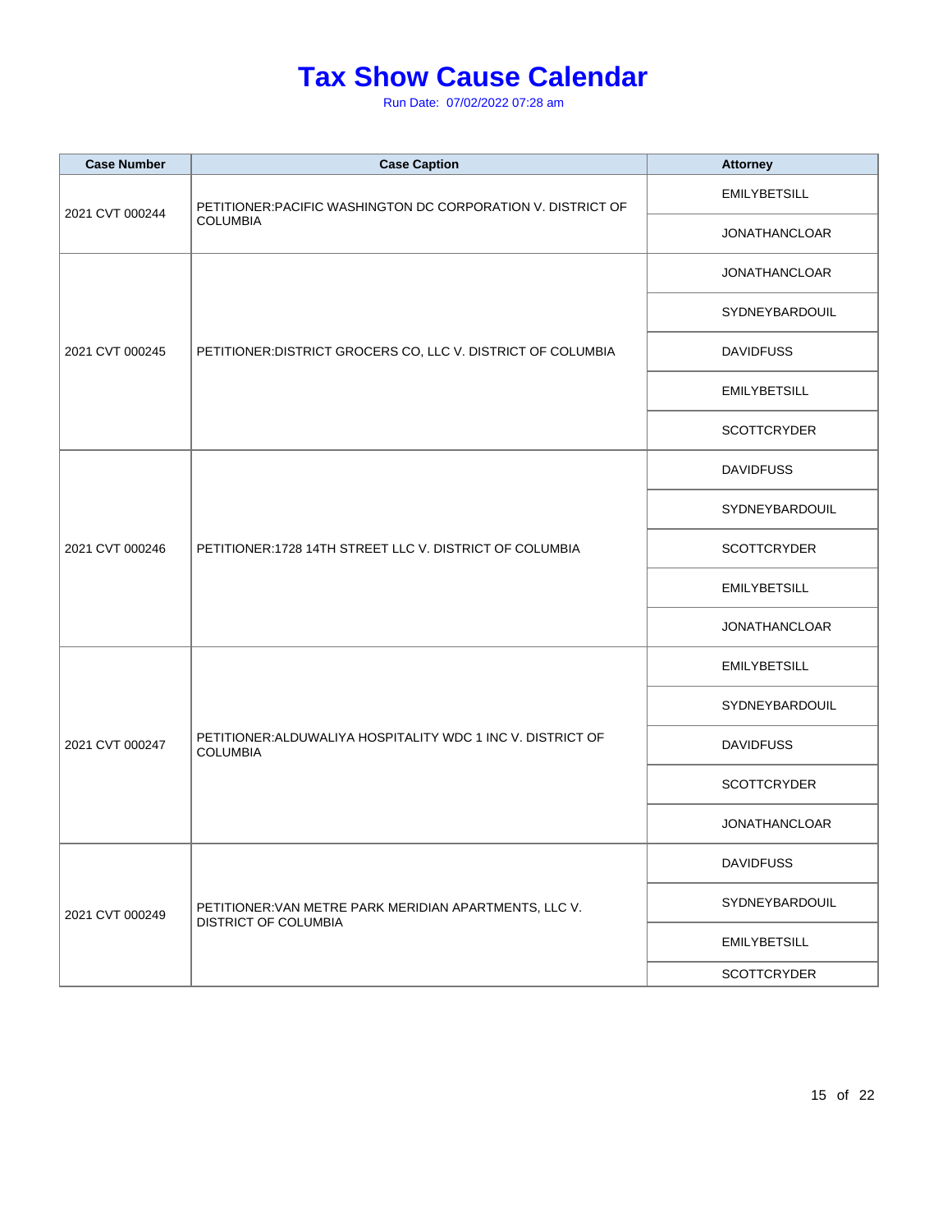| <b>Case Number</b> | <b>Case Caption</b>                                                            | <b>Attorney</b>      |
|--------------------|--------------------------------------------------------------------------------|----------------------|
| 2021 CVT 000244    | PETITIONER: PACIFIC WASHINGTON DC CORPORATION V. DISTRICT OF                   | <b>EMILYBETSILL</b>  |
|                    | <b>COLUMBIA</b>                                                                | <b>JONATHANCLOAR</b> |
|                    |                                                                                | <b>JONATHANCLOAR</b> |
|                    |                                                                                | SYDNEYBARDOUIL       |
| 2021 CVT 000245    | PETITIONER: DISTRICT GROCERS CO, LLC V. DISTRICT OF COLUMBIA                   | <b>DAVIDFUSS</b>     |
|                    |                                                                                | <b>EMILYBETSILL</b>  |
|                    |                                                                                | <b>SCOTTCRYDER</b>   |
|                    |                                                                                | <b>DAVIDFUSS</b>     |
|                    |                                                                                | SYDNEYBARDOUIL       |
| 2021 CVT 000246    | PETITIONER: 1728 14TH STREET LLC V. DISTRICT OF COLUMBIA                       | <b>SCOTTCRYDER</b>   |
|                    |                                                                                | <b>EMILYBETSILL</b>  |
|                    |                                                                                | <b>JONATHANCLOAR</b> |
|                    | PETITIONER: ALDUWALIYA HOSPITALITY WDC 1 INC V. DISTRICT OF<br><b>COLUMBIA</b> | <b>EMILYBETSILL</b>  |
|                    |                                                                                | SYDNEYBARDOUIL       |
| 2021 CVT 000247    |                                                                                | <b>DAVIDFUSS</b>     |
|                    |                                                                                | <b>SCOTTCRYDER</b>   |
|                    |                                                                                | <b>JONATHANCLOAR</b> |
|                    | PETITIONER: VAN METRE PARK MERIDIAN APARTMENTS, LLC V.<br>DISTRICT OF COLUMBIA | <b>DAVIDFUSS</b>     |
| 2021 CVT 000249    |                                                                                | SYDNEYBARDOUIL       |
|                    |                                                                                | <b>EMILYBETSILL</b>  |
|                    |                                                                                | <b>SCOTTCRYDER</b>   |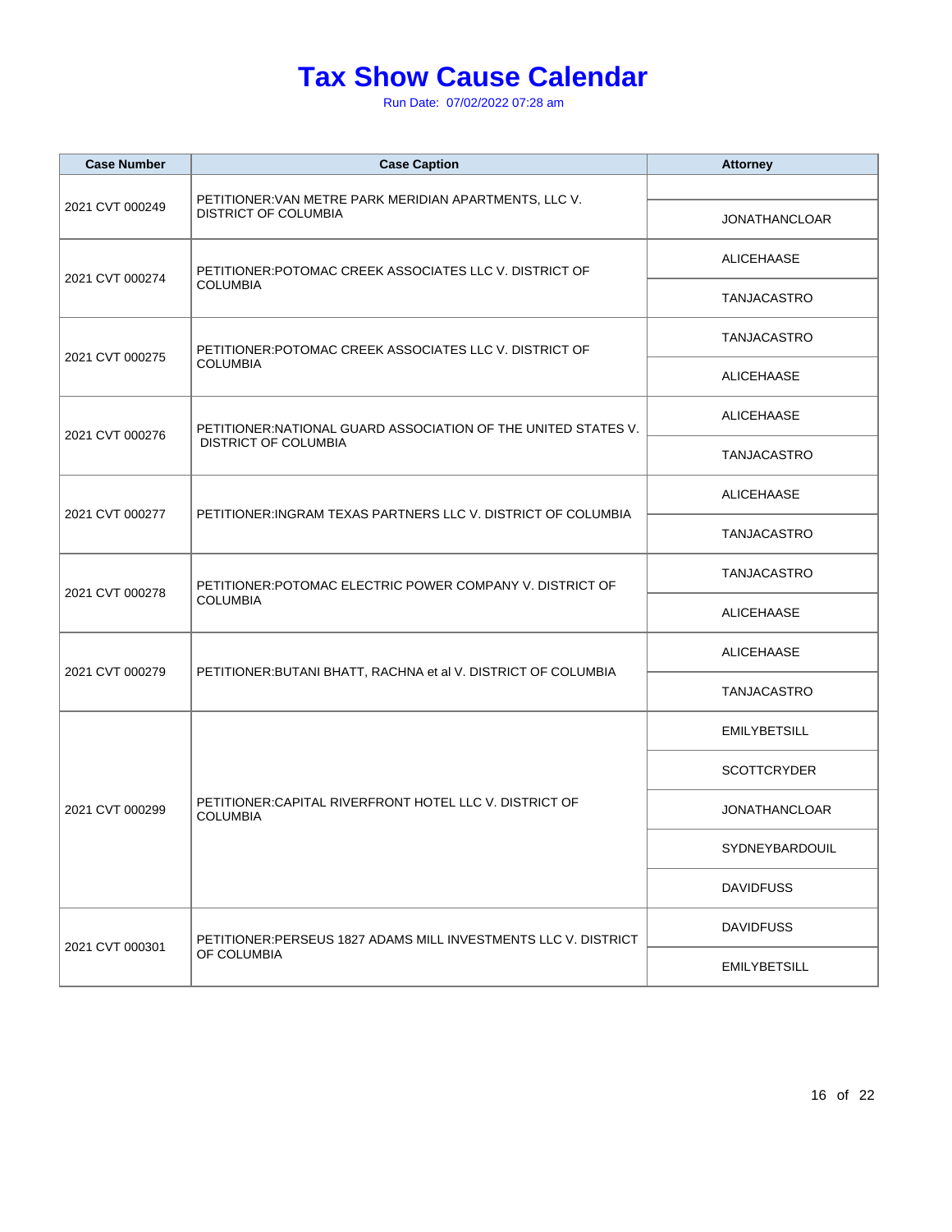| <b>Case Number</b> | <b>Case Caption</b>                                                                   | <b>Attorney</b>      |
|--------------------|---------------------------------------------------------------------------------------|----------------------|
| 2021 CVT 000249    | PETITIONER: VAN METRE PARK MERIDIAN APARTMENTS, LLC V.<br><b>DISTRICT OF COLUMBIA</b> | <b>JONATHANCLOAR</b> |
| 2021 CVT 000274    | PETITIONER:POTOMAC CREEK ASSOCIATES LLC V. DISTRICT OF                                | <b>ALICEHAASE</b>    |
|                    | <b>COLUMBIA</b>                                                                       | TANJACASTRO          |
| 2021 CVT 000275    | PETITIONER:POTOMAC CREEK ASSOCIATES LLC V. DISTRICT OF                                | <b>TANJACASTRO</b>   |
|                    | <b>COLUMBIA</b>                                                                       | <b>ALICEHAASE</b>    |
| 2021 CVT 000276    | PETITIONER: NATIONAL GUARD ASSOCIATION OF THE UNITED STATES V.                        | ALICEHAASE           |
|                    | <b>DISTRICT OF COLUMBIA</b>                                                           | <b>TANJACASTRO</b>   |
| 2021 CVT 000277    | PETITIONER: INGRAM TEXAS PARTNERS LLC V. DISTRICT OF COLUMBIA                         | <b>ALICEHAASE</b>    |
|                    |                                                                                       | <b>TANJACASTRO</b>   |
| 2021 CVT 000278    | PETITIONER: POTOMAC ELECTRIC POWER COMPANY V. DISTRICT OF<br><b>COLUMBIA</b>          | TANJACASTRO          |
|                    |                                                                                       | <b>ALICEHAASE</b>    |
| 2021 CVT 000279    | PETITIONER: BUTANI BHATT, RACHNA et al V. DISTRICT OF COLUMBIA                        | ALICEHAASE           |
|                    |                                                                                       | TANJACASTRO          |
|                    | PETITIONER: CAPITAL RIVERFRONT HOTEL LLC V. DISTRICT OF<br><b>COLUMBIA</b>            | <b>EMILYBETSILL</b>  |
|                    |                                                                                       | <b>SCOTTCRYDER</b>   |
| 2021 CVT 000299    |                                                                                       | <b>JONATHANCLOAR</b> |
|                    |                                                                                       | SYDNEYBARDOUIL       |
|                    |                                                                                       | <b>DAVIDFUSS</b>     |
| 2021 CVT 000301    | PETITIONER:PERSEUS 1827 ADAMS MILL INVESTMENTS LLC V. DISTRICT<br>OF COLUMBIA         | <b>DAVIDFUSS</b>     |
|                    |                                                                                       | <b>EMILYBETSILL</b>  |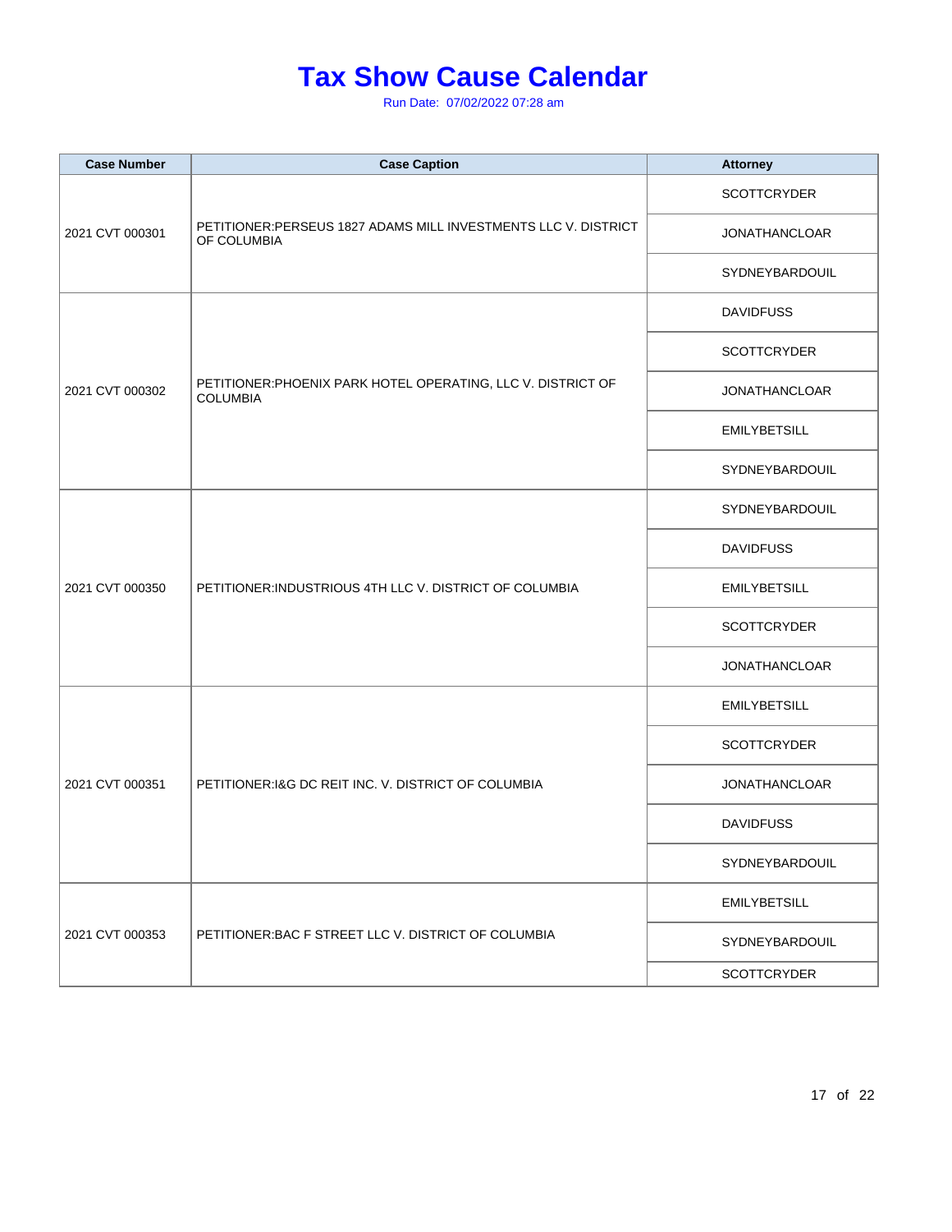| <b>Case Number</b> | <b>Case Caption</b>                                                             | <b>Attorney</b>      |
|--------------------|---------------------------------------------------------------------------------|----------------------|
| 2021 CVT 000301    | PETITIONER:PERSEUS 1827 ADAMS MILL INVESTMENTS LLC V. DISTRICT<br>OF COLUMBIA   | <b>SCOTTCRYDER</b>   |
|                    |                                                                                 | <b>JONATHANCLOAR</b> |
|                    |                                                                                 | SYDNEYBARDOUIL       |
|                    |                                                                                 | <b>DAVIDFUSS</b>     |
|                    |                                                                                 | <b>SCOTTCRYDER</b>   |
| 2021 CVT 000302    | PETITIONER: PHOENIX PARK HOTEL OPERATING, LLC V. DISTRICT OF<br><b>COLUMBIA</b> | <b>JONATHANCLOAR</b> |
|                    |                                                                                 | <b>EMILYBETSILL</b>  |
|                    |                                                                                 | SYDNEYBARDOUIL       |
|                    | PETITIONER: INDUSTRIOUS 4TH LLC V. DISTRICT OF COLUMBIA                         | SYDNEYBARDOUIL       |
|                    |                                                                                 | <b>DAVIDFUSS</b>     |
| 2021 CVT 000350    |                                                                                 | <b>EMILYBETSILL</b>  |
|                    |                                                                                 | <b>SCOTTCRYDER</b>   |
|                    |                                                                                 | <b>JONATHANCLOAR</b> |
|                    | PETITIONER: I&G DC REIT INC. V. DISTRICT OF COLUMBIA                            | <b>EMILYBETSILL</b>  |
|                    |                                                                                 | <b>SCOTTCRYDER</b>   |
| 2021 CVT 000351    |                                                                                 | <b>JONATHANCLOAR</b> |
|                    |                                                                                 | <b>DAVIDFUSS</b>     |
|                    |                                                                                 | SYDNEYBARDOUIL       |
| 2021 CVT 000353    | PETITIONER: BAC F STREET LLC V. DISTRICT OF COLUMBIA                            | <b>EMILYBETSILL</b>  |
|                    |                                                                                 | SYDNEYBARDOUIL       |
|                    |                                                                                 | <b>SCOTTCRYDER</b>   |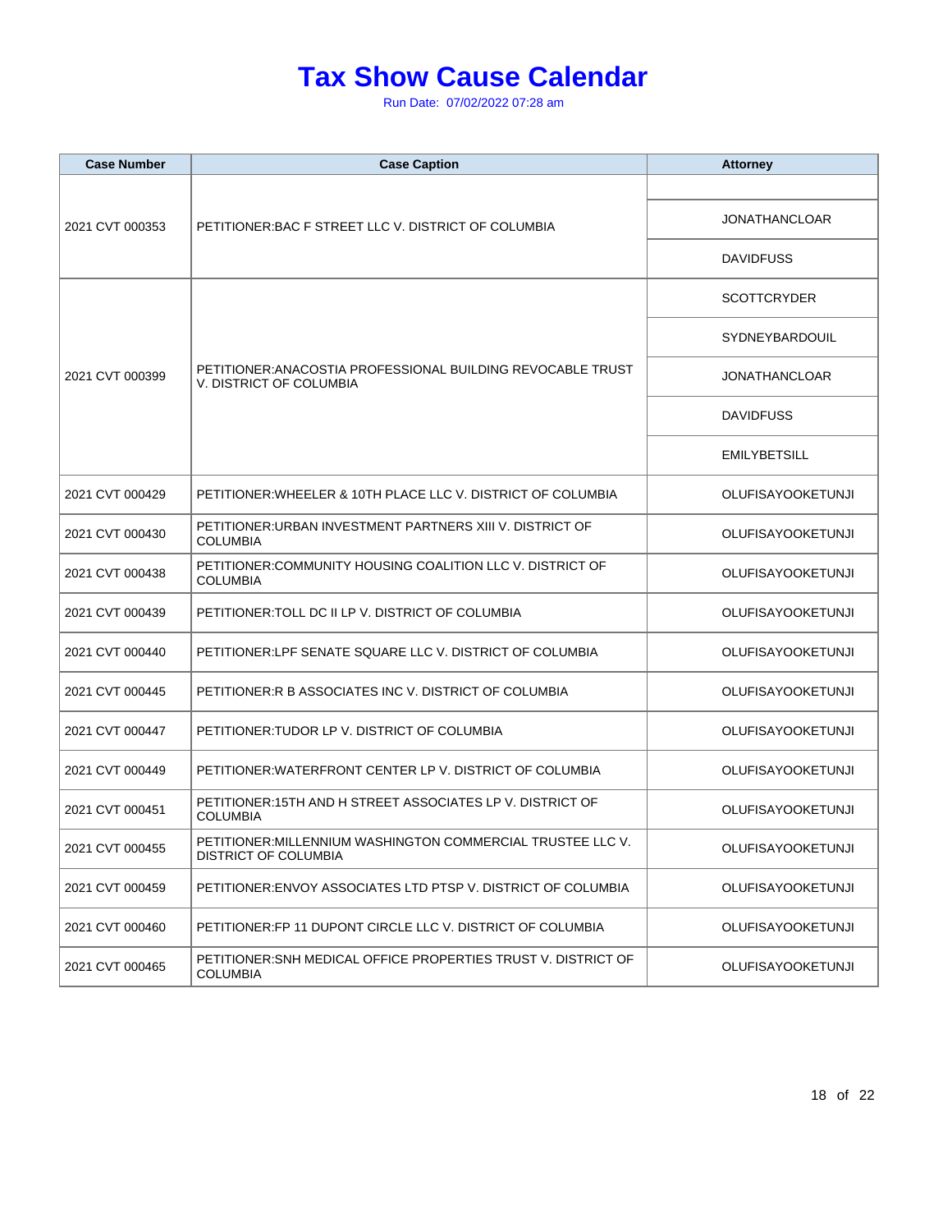| <b>Case Number</b> | <b>Case Caption</b>                                                                   | <b>Attorney</b>          |
|--------------------|---------------------------------------------------------------------------------------|--------------------------|
| 2021 CVT 000353    | PETITIONER: BAC F STREET LLC V. DISTRICT OF COLUMBIA                                  |                          |
|                    |                                                                                       | <b>JONATHANCLOAR</b>     |
|                    |                                                                                       | <b>DAVIDFUSS</b>         |
|                    |                                                                                       | <b>SCOTTCRYDER</b>       |
|                    |                                                                                       | SYDNEYBARDOUIL           |
| 2021 CVT 000399    | PETITIONER:ANACOSTIA PROFESSIONAL BUILDING REVOCABLE TRUST<br>V. DISTRICT OF COLUMBIA | <b>JONATHANCLOAR</b>     |
|                    |                                                                                       | <b>DAVIDFUSS</b>         |
|                    |                                                                                       | <b>EMILYBETSILL</b>      |
| 2021 CVT 000429    | PETITIONER:WHEELER & 10TH PLACE LLC V. DISTRICT OF COLUMBIA                           | <b>OLUFISAYOOKETUNJI</b> |
| 2021 CVT 000430    | PETITIONER:URBAN INVESTMENT PARTNERS XIII V. DISTRICT OF<br><b>COLUMBIA</b>           | <b>OLUFISAYOOKETUNJI</b> |
| 2021 CVT 000438    | PETITIONER:COMMUNITY HOUSING COALITION LLC V. DISTRICT OF<br><b>COLUMBIA</b>          | <b>OLUFISAYOOKETUNJI</b> |
| 2021 CVT 000439    | PETITIONER:TOLL DC II LP V. DISTRICT OF COLUMBIA                                      | <b>OLUFISAYOOKETUNJI</b> |
| 2021 CVT 000440    | PETITIONER:LPF SENATE SQUARE LLC V. DISTRICT OF COLUMBIA                              | <b>OLUFISAYOOKETUNJI</b> |
| 2021 CVT 000445    | PETITIONER:R B ASSOCIATES INC V. DISTRICT OF COLUMBIA                                 | <b>OLUFISAYOOKETUNJI</b> |
| 2021 CVT 000447    | PETITIONER:TUDOR LP V. DISTRICT OF COLUMBIA                                           | <b>OLUFISAYOOKETUNJI</b> |
| 2021 CVT 000449    | PETITIONER: WATERFRONT CENTER LP V. DISTRICT OF COLUMBIA                              | <b>OLUFISAYOOKETUNJI</b> |
| 2021 CVT 000451    | PETITIONER:15TH AND H STREET ASSOCIATES LP V. DISTRICT OF<br><b>COLUMBIA</b>          | <b>OLUFISAYOOKETUNJI</b> |
| 2021 CVT 000455    | PETITIONER: MILLENNIUM WASHINGTON COMMERCIAL TRUSTEE LLC V.<br>DISTRICT OF COLUMBIA   | OLUFISAYOOKETUNJI        |
| 2021 CVT 000459    | PETITIONER:ENVOY ASSOCIATES LTD PTSP V. DISTRICT OF COLUMBIA                          | <b>OLUFISAYOOKETUNJI</b> |
| 2021 CVT 000460    | PETITIONER:FP 11 DUPONT CIRCLE LLC V. DISTRICT OF COLUMBIA                            | <b>OLUFISAYOOKETUNJI</b> |
| 2021 CVT 000465    | PETITIONER:SNH MEDICAL OFFICE PROPERTIES TRUST V. DISTRICT OF<br><b>COLUMBIA</b>      | <b>OLUFISAYOOKETUNJI</b> |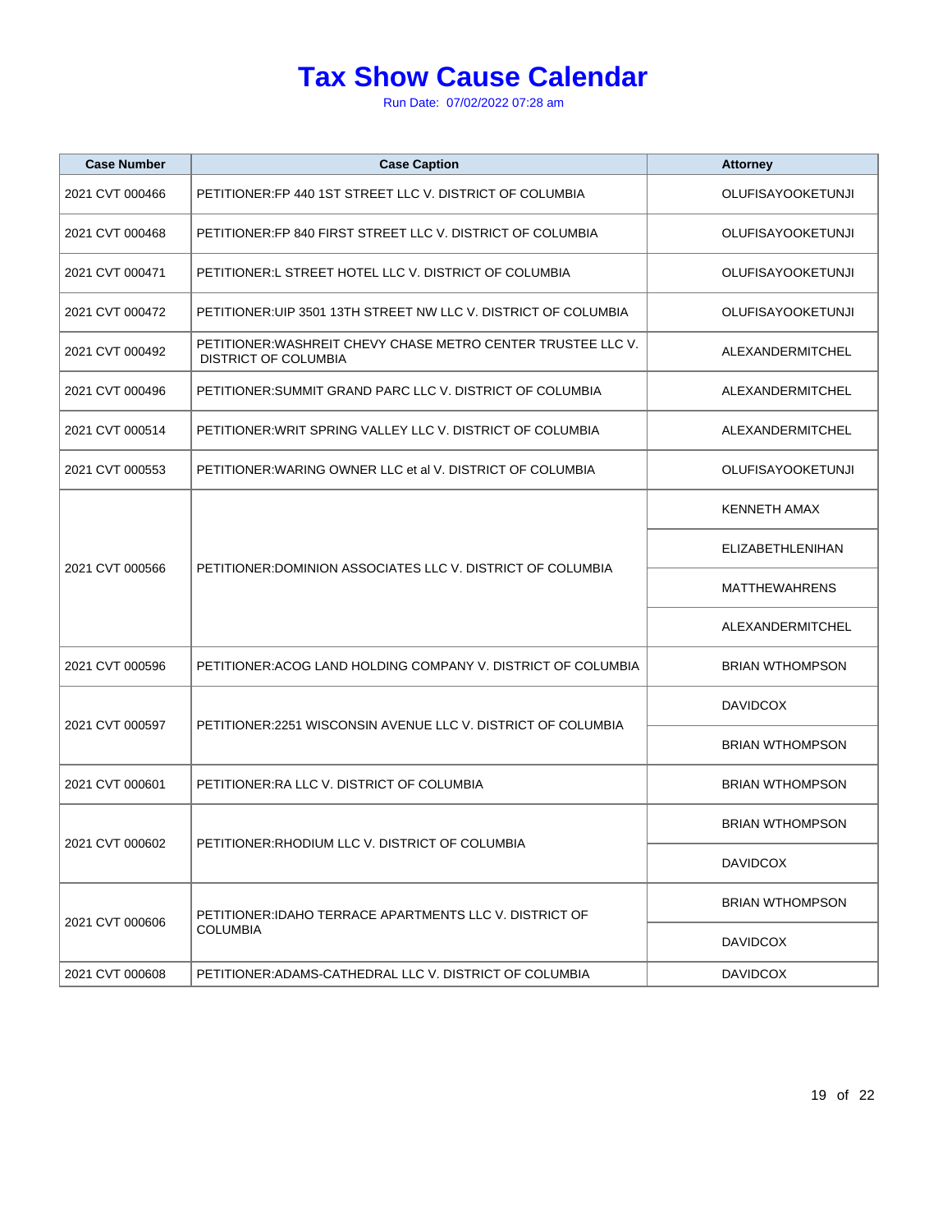| <b>Case Number</b> | <b>Case Caption</b>                                                                  | <b>Attorney</b>          |
|--------------------|--------------------------------------------------------------------------------------|--------------------------|
| 2021 CVT 000466    | PETITIONER: FP 440 1ST STREET LLC V. DISTRICT OF COLUMBIA                            | <b>OLUFISAYOOKETUNJI</b> |
| 2021 CVT 000468    | PETITIONER: FP 840 FIRST STREET LLC V. DISTRICT OF COLUMBIA                          | <b>OLUFISAYOOKETUNJI</b> |
| 2021 CVT 000471    | PETITIONER:L STREET HOTEL LLC V. DISTRICT OF COLUMBIA                                | <b>OLUFISAYOOKETUNJI</b> |
| 2021 CVT 000472    | PETITIONER:UIP 3501 13TH STREET NW LLC V. DISTRICT OF COLUMBIA                       | <b>OLUFISAYOOKETUNJI</b> |
| 2021 CVT 000492    | PETITIONER: WASHREIT CHEVY CHASE METRO CENTER TRUSTEE LLC V.<br>DISTRICT OF COLUMBIA | ALEXANDERMITCHEL         |
| 2021 CVT 000496    | PETITIONER: SUMMIT GRAND PARC LLC V. DISTRICT OF COLUMBIA                            | ALEXANDERMITCHEL         |
| 2021 CVT 000514    | PETITIONER: WRIT SPRING VALLEY LLC V. DISTRICT OF COLUMBIA                           | ALEXANDERMITCHEL         |
| 2021 CVT 000553    | PETITIONER: WARING OWNER LLC et al V. DISTRICT OF COLUMBIA                           | <b>OLUFISAYOOKETUNJI</b> |
|                    | PETITIONER: DOMINION ASSOCIATES LLC V. DISTRICT OF COLUMBIA                          | <b>KENNETH AMAX</b>      |
|                    |                                                                                      | <b>ELIZABETHLENIHAN</b>  |
| 2021 CVT 000566    |                                                                                      | <b>MATTHEWAHRENS</b>     |
|                    |                                                                                      | ALEXANDERMITCHEL         |
| 2021 CVT 000596    | PETITIONER: ACOG LAND HOLDING COMPANY V. DISTRICT OF COLUMBIA                        | <b>BRIAN WTHOMPSON</b>   |
|                    | PETITIONER:2251 WISCONSIN AVENUE LLC V. DISTRICT OF COLUMBIA                         | <b>DAVIDCOX</b>          |
| 2021 CVT 000597    |                                                                                      | <b>BRIAN WTHOMPSON</b>   |
| 2021 CVT 000601    | PETITIONER: RA LLC V. DISTRICT OF COLUMBIA                                           | <b>BRIAN WTHOMPSON</b>   |
|                    | PETITIONER: RHODIUM LLC V. DISTRICT OF COLUMBIA                                      | <b>BRIAN WTHOMPSON</b>   |
| 2021 CVT 000602    |                                                                                      | <b>DAVIDCOX</b>          |
| 2021 CVT 000606    | PETITIONER: IDAHO TERRACE APARTMENTS LLC V. DISTRICT OF<br><b>COLUMBIA</b>           | <b>BRIAN WTHOMPSON</b>   |
|                    |                                                                                      | <b>DAVIDCOX</b>          |
| 2021 CVT 000608    | PETITIONER: ADAMS-CATHEDRAL LLC V. DISTRICT OF COLUMBIA                              | <b>DAVIDCOX</b>          |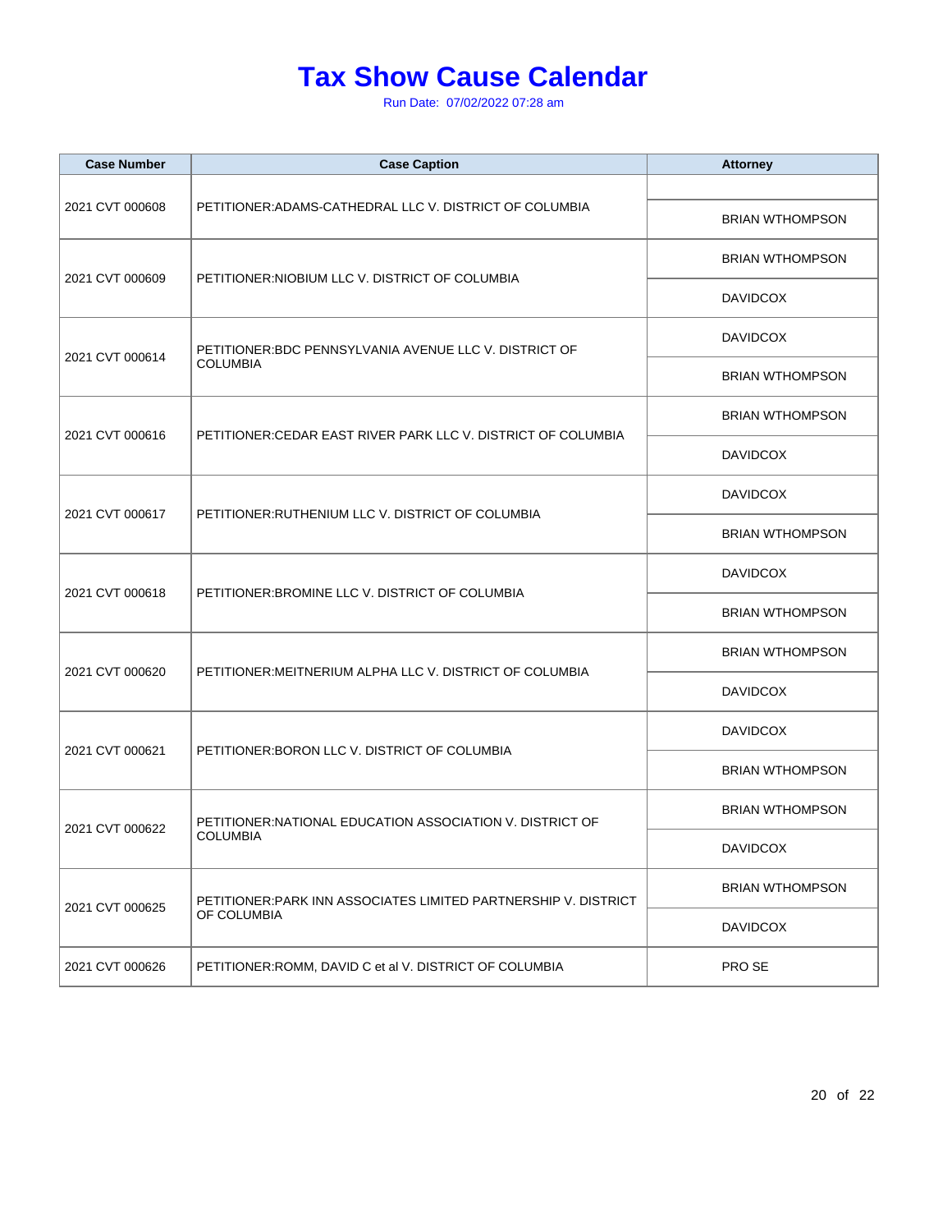| <b>Case Number</b> | <b>Case Caption</b>                                                            | <b>Attorney</b>        |
|--------------------|--------------------------------------------------------------------------------|------------------------|
|                    | PETITIONER: ADAMS-CATHEDRAL LLC V. DISTRICT OF COLUMBIA                        |                        |
| 2021 CVT 000608    |                                                                                | <b>BRIAN WTHOMPSON</b> |
|                    |                                                                                | <b>BRIAN WTHOMPSON</b> |
| 2021 CVT 000609    | PETITIONER: NIOBIUM LLC V. DISTRICT OF COLUMBIA                                | <b>DAVIDCOX</b>        |
|                    | PETITIONER: BDC PENNSYLVANIA AVENUE LLC V. DISTRICT OF                         | <b>DAVIDCOX</b>        |
| 2021 CVT 000614    | <b>COLUMBIA</b>                                                                | <b>BRIAN WTHOMPSON</b> |
| 2021 CVT 000616    | PETITIONER: CEDAR EAST RIVER PARK LLC V. DISTRICT OF COLUMBIA                  | <b>BRIAN WTHOMPSON</b> |
|                    |                                                                                | <b>DAVIDCOX</b>        |
|                    | PETITIONER: RUTHENIUM LLC V. DISTRICT OF COLUMBIA                              | <b>DAVIDCOX</b>        |
| 2021 CVT 000617    |                                                                                | <b>BRIAN WTHOMPSON</b> |
|                    | PETITIONER: BROMINE LLC V. DISTRICT OF COLUMBIA                                | <b>DAVIDCOX</b>        |
| 2021 CVT 000618    |                                                                                | <b>BRIAN WTHOMPSON</b> |
|                    |                                                                                | <b>BRIAN WTHOMPSON</b> |
| 2021 CVT 000620    | PETITIONER: MEITNERIUM ALPHA LLC V. DISTRICT OF COLUMBIA                       | <b>DAVIDCOX</b>        |
| 2021 CVT 000621    | PETITIONER: BORON LLC V. DISTRICT OF COLUMBIA                                  | <b>DAVIDCOX</b>        |
|                    |                                                                                | <b>BRIAN WTHOMPSON</b> |
|                    | PETITIONER: NATIONAL EDUCATION ASSOCIATION V. DISTRICT OF<br><b>COLUMBIA</b>   | <b>BRIAN WTHOMPSON</b> |
| 2021 CVT 000622    |                                                                                | <b>DAVIDCOX</b>        |
| 2021 CVT 000625    | PETITIONER: PARK INN ASSOCIATES LIMITED PARTNERSHIP V. DISTRICT<br>OF COLUMBIA | <b>BRIAN WTHOMPSON</b> |
|                    |                                                                                | <b>DAVIDCOX</b>        |
| 2021 CVT 000626    | PETITIONER: ROMM, DAVID C et al V. DISTRICT OF COLUMBIA                        | PRO SE                 |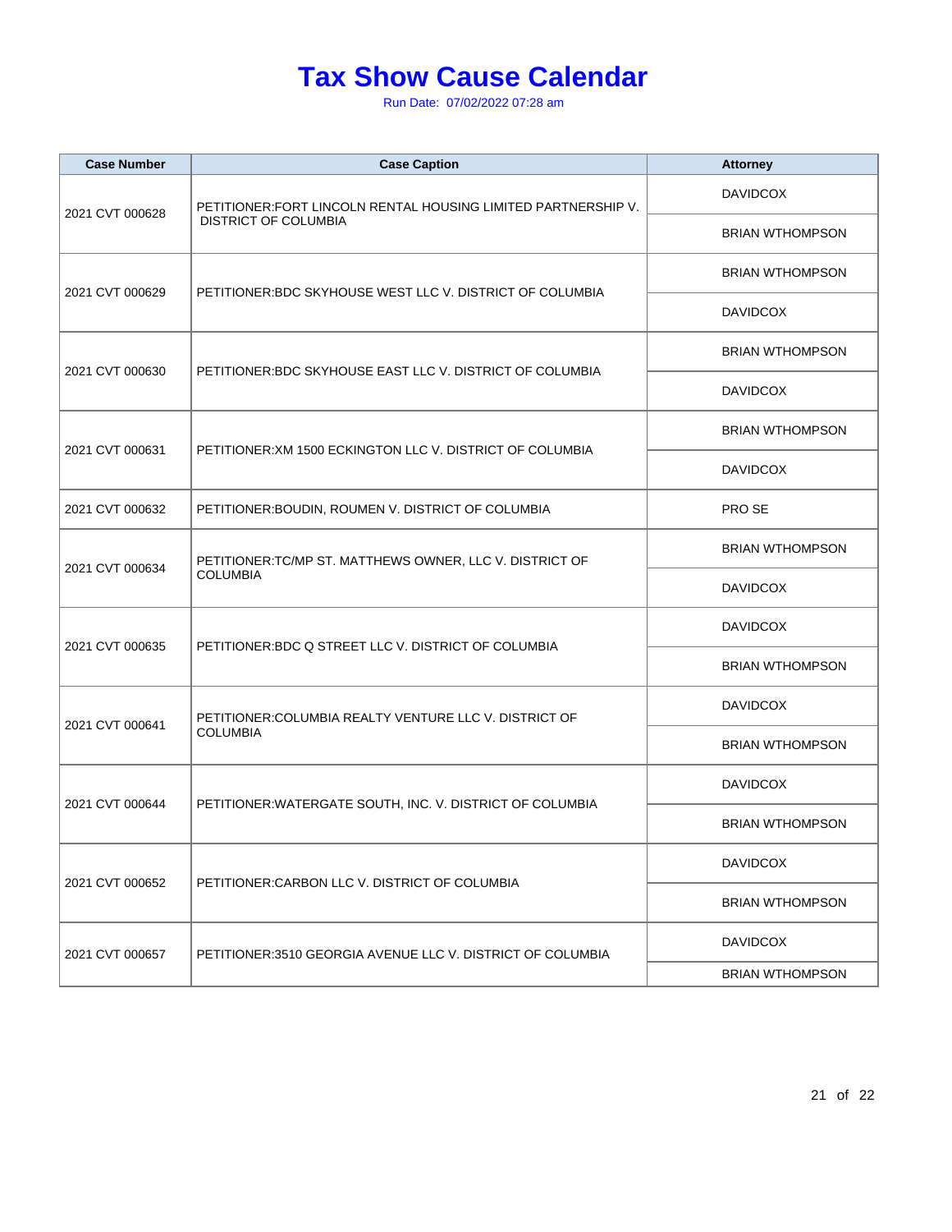| <b>Case Number</b> | <b>Case Caption</b>                                                                           | <b>Attorney</b>        |
|--------------------|-----------------------------------------------------------------------------------------------|------------------------|
| 2021 CVT 000628    | PETITIONER: FORT LINCOLN RENTAL HOUSING LIMITED PARTNERSHIP V.<br><b>DISTRICT OF COLUMBIA</b> | <b>DAVIDCOX</b>        |
|                    |                                                                                               | <b>BRIAN WTHOMPSON</b> |
|                    |                                                                                               | <b>BRIAN WTHOMPSON</b> |
| 2021 CVT 000629    | PETITIONER: BDC SKYHOUSE WEST LLC V. DISTRICT OF COLUMBIA                                     | <b>DAVIDCOX</b>        |
| 2021 CVT 000630    |                                                                                               | <b>BRIAN WTHOMPSON</b> |
|                    | PETITIONER: BDC SKYHOUSE EAST LLC V. DISTRICT OF COLUMBIA                                     | <b>DAVIDCOX</b>        |
|                    |                                                                                               | <b>BRIAN WTHOMPSON</b> |
| 2021 CVT 000631    | PETITIONER: XM 1500 ECKINGTON LLC V. DISTRICT OF COLUMBIA                                     | <b>DAVIDCOX</b>        |
| 2021 CVT 000632    | PETITIONER: BOUDIN, ROUMEN V. DISTRICT OF COLUMBIA                                            | PRO SE                 |
|                    | PETITIONER: TC/MP ST. MATTHEWS OWNER, LLC V. DISTRICT OF<br><b>COLUMBIA</b>                   | <b>BRIAN WTHOMPSON</b> |
| 2021 CVT 000634    |                                                                                               | <b>DAVIDCOX</b>        |
|                    |                                                                                               | <b>DAVIDCOX</b>        |
| 2021 CVT 000635    | PETITIONER: BDC Q STREET LLC V. DISTRICT OF COLUMBIA                                          | <b>BRIAN WTHOMPSON</b> |
| 2021 CVT 000641    | PETITIONER: COLUMBIA REALTY VENTURE LLC V. DISTRICT OF<br><b>COLUMBIA</b>                     | <b>DAVIDCOX</b>        |
|                    |                                                                                               | <b>BRIAN WTHOMPSON</b> |
|                    | PETITIONER: WATERGATE SOUTH, INC. V. DISTRICT OF COLUMBIA                                     | <b>DAVIDCOX</b>        |
| 2021 CVT 000644    |                                                                                               | <b>BRIAN WTHOMPSON</b> |
|                    | PETITIONER: CARBON LLC V. DISTRICT OF COLUMBIA                                                | <b>DAVIDCOX</b>        |
| 2021 CVT 000652    |                                                                                               | <b>BRIAN WTHOMPSON</b> |
| 2021 CVT 000657    | PETITIONER:3510 GEORGIA AVENUE LLC V. DISTRICT OF COLUMBIA                                    | <b>DAVIDCOX</b>        |
|                    |                                                                                               | <b>BRIAN WTHOMPSON</b> |